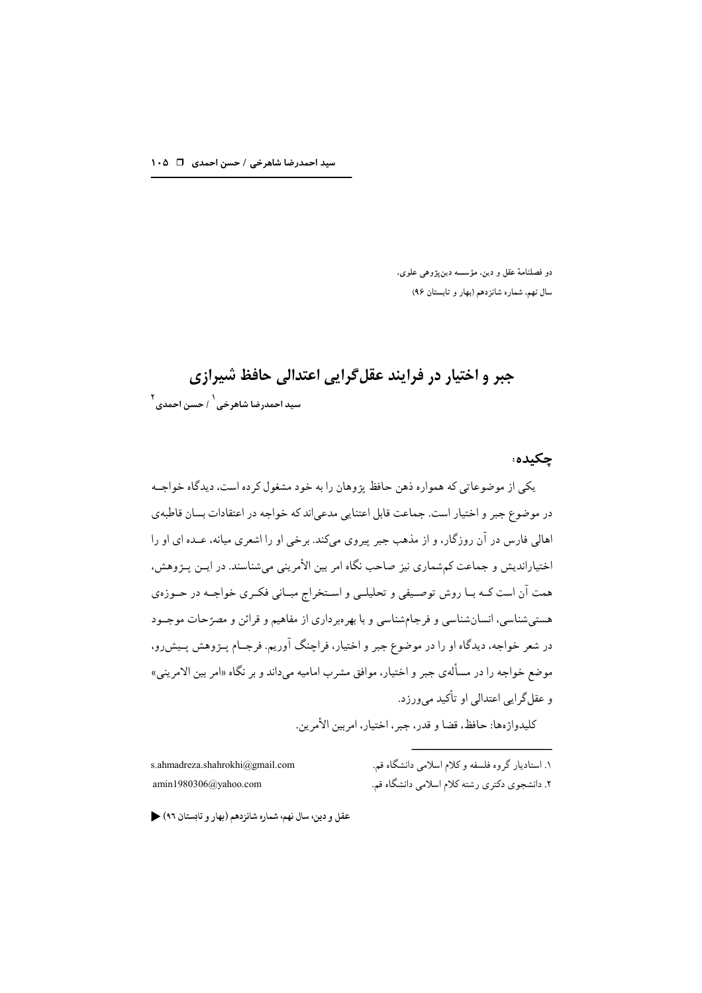دو فصلنامهٔ عقل و دین، مؤسسه دینپژوهی علوی، سال نهم، شماره شانزدهم (بهار و تابستان ۹۶)

چکىدە:

# جبر و اختيار در فرايند عقل گرايي اعتدالي حافظ شيرازي ۲<br>سید احمدرضا شاهرخی <sup>۱</sup> حسن احمدی <sup>۲</sup>

یکے از موضوعاتی که همواره ذهن حافظ یژوهان را به خود مشغول کرده است، دیدگاه خواجـه در موضوع جبر و اختیار است. جماعت قابل اعتنایی مدعی|ند که خواجه در اعتقادات بسان قاطبهی اهالی فارس در آن روزگار، و از مذهب جبر پیروی میکند. برخی او را اشعری میانه، عـده ای او را اختیاراندیش و جماعت کمشماری نیز صاحب نگاه امر بین الأمرینی میشناسند. در ایــن پــژوهش، همت آن است کـه بـا روش توصـیفی و تحلیلـی و اسـتخراج مبـانی فکـری خواجـه در حـوزهي هستی شناسی، انسان شناسی و فرجام شناسی و با بهرهبرداری از مفاهیم و قرائن و مصرّحات موجــود در شعر خواجه، دیدگاه او را در موضوع جبر و اختیار، فراچنگ آوریم. فرجــام پــژوهش پــیش٫و، موضع خواجه را در مسألهي جبر و اختيار، موافق مشرب اماميه ميداند و بر نگاه «امر بين الامريني» و عقلگرايي اعتدالي او تأکيد ميورزد.

كليدواژهها: حافظ، قضا و قدر، جبر ، اختيار، امربين الأمرين.

s.ahmadreza.shahrokhi@gmail.com  $amin1980306$ @yahoo.com

۱. استادیار گروه فلسفه و کلام اسلامی دانشگاه قم. ۲. دانشجوی دکتری رشته کلام اسلامی دانشگاه قم.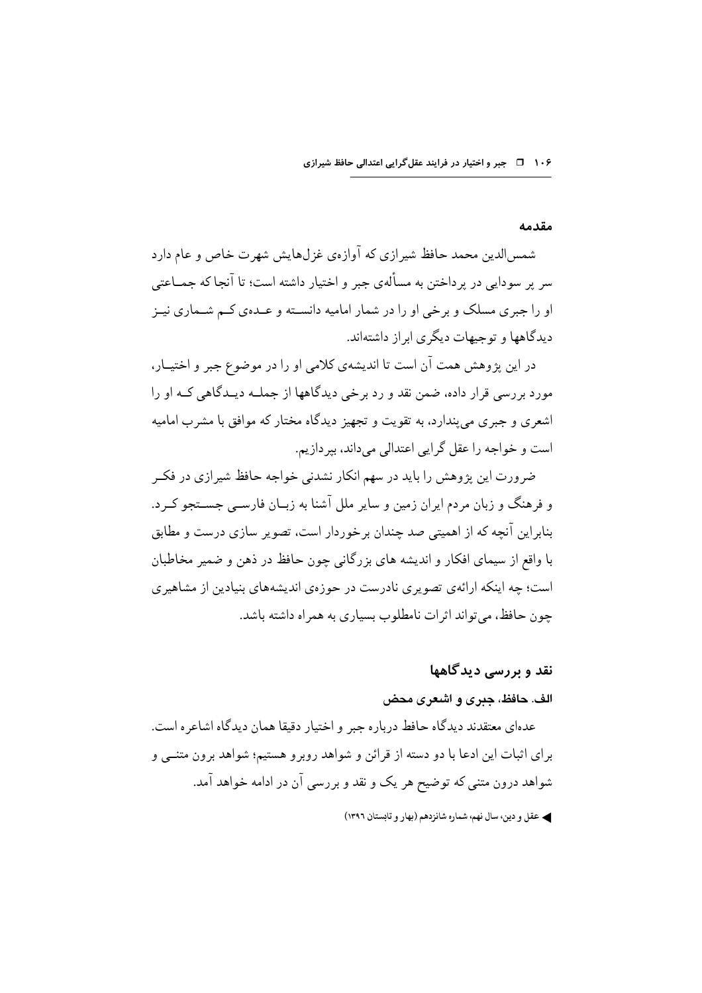۱۰۶ ق جبر و اختیار در فرایند عقل گرایی اعتدالی حافظ شیرازی

#### مقدمه

شمسالدین محمد حافظ شیرازی که آوازهی غزلهایش شهرت خاص و عام دارد سر پر سودایی در پرداختن به مسألهی جبر و اختیار داشته است؛ تا آنجا که جمــاعتی او را جبری مسلک و بر خی او را در شمار امامیه دانسـته و عـدهی کـم شـماری نیــز دیدگاهها و توجیهات دیگری ایراز داشتهاند.

در این پژوهش همت آن است تا اندیشهی کلامی او را در موضوع جبر و اختیـار، مورد بررسی قرار داده، ضمن نقد و رد برخی دیدگاهها از جملـه دیـدگاهی کـه او را اشعری و جبری می پندارد، به تقویت و تجهیز دیدگاه مختار که موافق با مشرب امامیه است و خواجه را عقل گرایی اعتدالی می داند، بیر دازیم.

ضرورت این پژوهش را باید در سهم انکار نشدنی خواجه حافظ شیرازی در فکر و فرهنگ و زبان مردم ایران زمین و سایر ملل آشنا به زبـان فارســی جســتجو کــرد. بنابراین آنچه که از اهمیتی صد چندان برخوردار است، تصویر سازی درست و مطابق با واقع از سیمای افکار و اندیشه های بزرگانی چون حافظ در ذهن و ضمیر مخاطبان است؛ چه اینکه ارائهی تصویری نادرست در حوزهی اندیشههای بنیادین از مشاهیری جون حافظ، مے تواند اثرات نامطلوب بسیاری به همراه داشته باشد.

# نقد و پررسے دیدگاهها

### الف. حافظ، جبري و اشعري محض

عدهای معتقدند دیدگاه حافط درباره جبر و اختیار دقیقا همان دیدگاه اشاعره است. برای اثبات این ادعا با دو دسته از قرائن و شواهد روبرو هستیم؛ شواهد برون متنبی و شواهد درون متنی که توضیح هر یک و نقد و بررسی آن در ادامه خواهد آمد.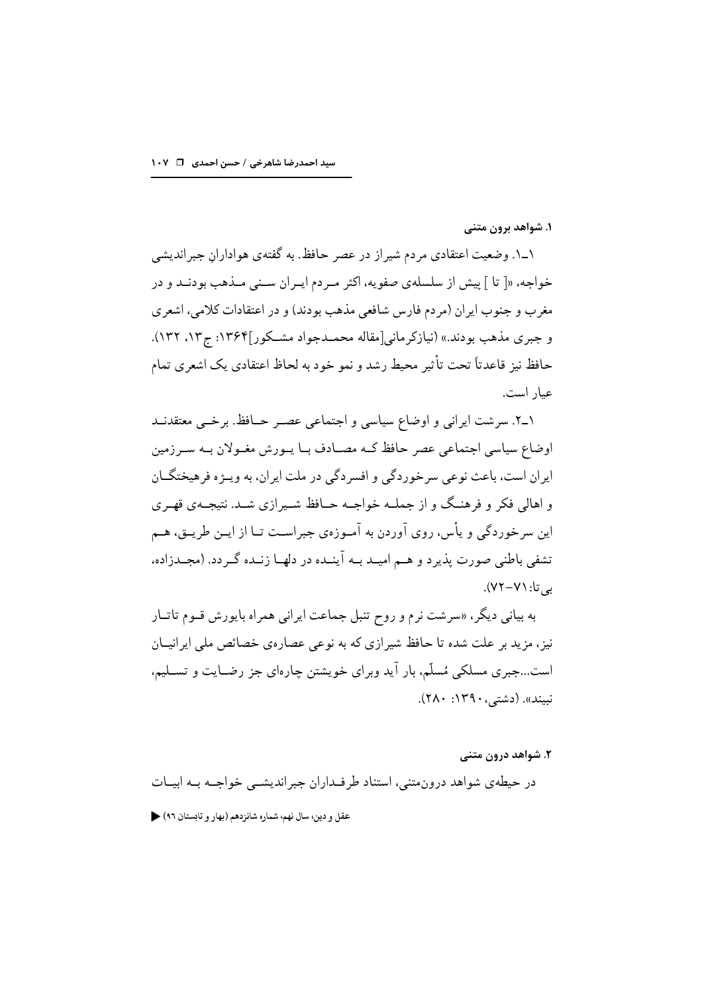۱. شواهد برون متنى

۱\_۱. وضعیت اعتقادی مردم شیراز در عصر حافظ. به گفتهی هواداران جبراندیشی خواجه، «[ تا ] پیش از سلسلهی صفویه، اکثر مـردم ایـران سـنی مـذهب بودنـد و در مغرب و جنوب ایران (مردم فارس شافعی مذهب بودند) و در اعتقادات کلامی، اشعری و جبری مذهب بودند.» (نیازکر مانی[مقاله محمــدجواد مشــکور]۱۳۶۴: ج۱۳، ۱۳۲). حافظ نیز قاعدتاً تحت تأثیر محیط رشد و نمو خود به لحاظ اعتقادی یک اشعری تمام عيار است.

١ـ٢. سرشت ايراني و اوضاع سياسي و اجتماعي عصـر حـافظ. برخـي معتقدنـد اوضاع سیاسی اجتماعی عصر حافظ کـه مصـادف بـا پـورش مغـولان بـه سـرزمین ايران است، باعث نوعي سرخور دگي و افسر دگي در ملت ايران، به ويــژه فرهيختگــان و اهالی فکر و فرهنگ و از جملـه خواجـه حــافظ شــیرازی شــد. نتیجــهی قهـری این سرخوردگی و پأس، روی آوردن به آمـوزهي جبراسـت تــا از ايــن طريــق، هــم تشفی باطنی صورت پذیر د و هــم امیــد بــه آینــده در دلهــا زنــده گــر دد. (مجــدزاده، به تا: ۷۱–۷۲).

به بیانی دیگر، «سرشت نرم و روح تنبل جماعت ایرانی همراه بایورش قـوم تاتـار نیز ، مزید بر علت شده تا حافظ شیرازی که به نوعی عصارهی خصائص ملی ایرانیــان است…جبری مسلکی مُسلّم، بار آید وبرای خویشتن چارهای جز رضـایت و تســلیم، نبيند». (دشتي، ١٣٩٠: ٢٨٠).

۲. شواهد درون متنی

در حیطهی شواهد درونءمتنی، استناد طرفـداران جبراندیشــی خواجــه بــه ابیــات عقل و دين، سال نهم، شماره شانزدهم (بهار و تابستان ٩٦)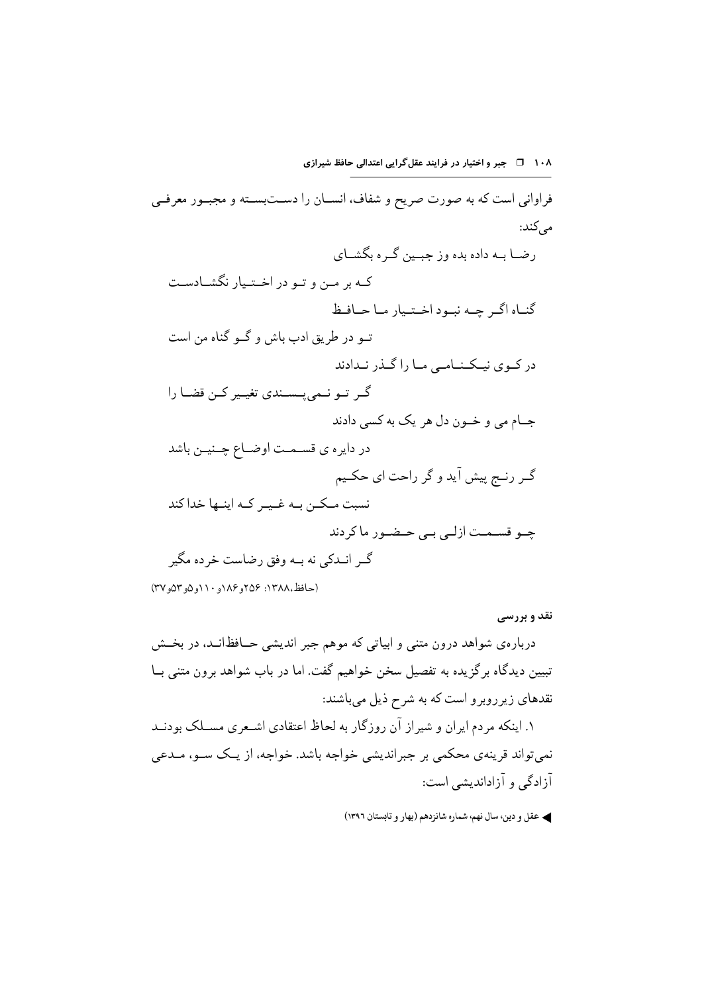فراواني است كه به صورت صريح و شفاف، انســان را دســتبســته و مجبــور معرفــي مے کند: رضــا بــه داده بده وز جبــين گــر ه بگشــاي کـه بر مـن و تـو در اخـتـيار نگشـادسـت گنباه اگیر چپه نبیود اختیار میا حیافظ تــو در طريق ادب باش و گــو گناه من است در کوي نيکنــامـي مـا را گــذر نــدادند گے تو نے پسندی تغییر کن قضا را جــام مي و خــون دل هر يک به کسي دادند در دایره ي قسـمـت اوضـاع چـنیـن باشد گـر رنـج پیش آید و گر راحت اي حكـيم نسبت مـكـن بـه غـيـر كـه اينـها خداكند چـو قسـمـت ازلـی بـی حـضـور ماکردند گــر انــدکـي نه بــه وفق رضاست خر ده مگير

(حافظ،١٣٨٨: ٢٥۶و ١٨۶ص ١١٠و ١٢٥و ٥٣)

نقد و بررسی

دربارهي شواهد درون متنبي و ابياتي كه موهم جبر انديشي حــافظانــد، در بخــش تبیین دیدگاه بر گزیده به تفصیل سخن خواهیم گفت. اما در باب شواهد برون متنی بــا نقدهای زیرروبرو است که به شرح ذیل میباشند: ۱. اینکه مردم ایران و شیراز آن روزگار به لحاظ اعتقادی اشـعری مسـلک بودنــد نمي تواند قرينه ي محكمي بر جبرانديشي خواجه باشد. خواجه، از يــک ســو، مــدعي آزادگی و آزاداندیشی است: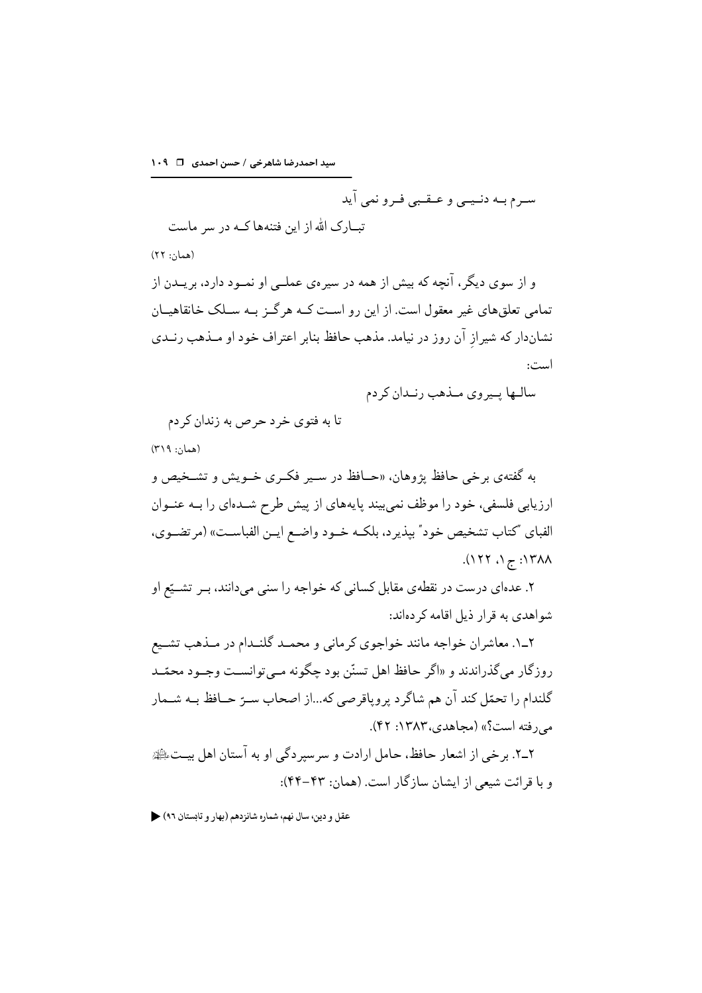سید احمدرضا شاهرخی / حسن احمدی [ 1٠٩

سـرم بـه دنـيــي و عــقــبي فـرو نمي آيد

تبــارک الله از این فتنهها کــه در سر ماست

(همان: ۲۲)

و از سوی دیگر، آنچه که بیش از همه در سیرهی عملــی او نمــود دارد، بریــدن از تمامی تعلق های غیر معقول است. از این رو اسـت کــه هر گــز بــه ســلک خانقاهیــان نشاندار که شیراز آن روز در نیامد. مذهب حافظ بنابر اعتراف خود او مـذهب رنــدی است:

تا به فتوى خرد حرص به زندان كردم (همان: ۳۱۹)

به گفتهي برخي حافظ پژوهان، «حــافظ در ســير فکـري خــويش و تشــخيص و ارزیابی فلسفی، خود را موظف نمی بیند پایههای از پیش طرح شـدهای را بــه عنــوان الفباي "كتاب تشخيص خود" بپذيرد، بلكـه خـود واضـع ايـن الفباسـت» (مرتضـوي،  $\Lambda$ ۱۲۸۸: ج ۱، ۱۲۲).

۲. عدهای درست در نقطهی مقابل کسانی که خواجه را سنی می دانند، بـر تشــیّع او شواهدی به قرار ذیل اقامه کر دهاند:

۲\_۱. معاشران خواجه مانند خواجوي كرماني و محمـد گلنـدام در مـذهب تشـيع روزگار مي گذراندند و «اگر حافظ اهل تسنّن بود چگونه مـي توانسـت وجـود محمّـد گلندام را تحمّل كند آن هم شاگرد پروپاقرصي كه...از اصحاب سـرّ حــافظ بــه شــمار می رفته است؟» (مجاهدی، ۱۳۸۳: ۴۲).

٢\_٢. بر خي از اشعار حافظ، حامل ارادت و سرسبر دگي او به آستان اهل بيـتﷺ و یا قرائت شیعی از ایشان سازگار است. (همان: ۴۳–۴۴):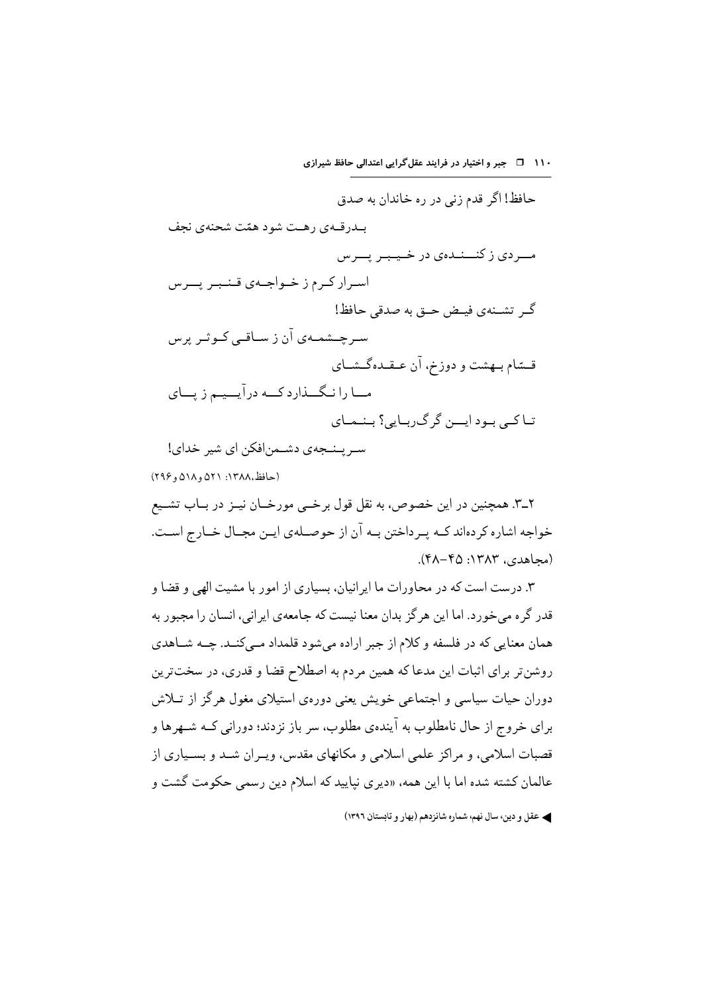۱۱۰ 1 - جبر و اختیار در فرایند عقل گرایی اعتدالی حافظ شیرازی

حافظ! اگر قدم زنی در ره خاندان به صدق بـدرقــهي رهــت شود همّت شحنهي نجف مد دي ز کنــنـدهي در خـيـبـر يــرس اسرار کرم ز خواجهی قنبر پسرس گـر تشـنهي فيـض حـق به صدقي حافظ! سے جے شمسے آن ز سیاقتی کیو ثیر پریس قـمتام بـهشت و دوزخ، آن عـقـدهگـشـاي مــا را نـگـــذارد كـــه درآيـــيــم زيـــاي تبا کے بےود ایپن گر گ رہایے؟ ہنیمیای سے پنجهوی دشتمن(فکن ای شیر خدای)

(حافظ،۱۳۸۸: ۵۲۱ و ۵۱۸ و ۲۹۶)

۲ـ۳. همچنین در این خصوص، به نقل قول برخــي مورخــان نيــز در بــاب تشــيع خواجه اشاره كردهاند كــه پــرداختن بــه آن از حوصــلهى ايــن مجــال خــارج اســت. (مجاهدي، ١٣٨٣: ۴۵-۴۸).

۳. درست است که در محاورات ما ایر انیان، بسیاری از امور با مشیت الهی و قضا و قدر گر ه می خور د. اما این هر گز بدان معنا نیست که جامعهی ایر انی، انسان را مجبور به همان معنایی که در فلسفه و کلام از جبر اراده می شود قلمداد مــی کنــد. چــه شــاهدی روشنتر برای اثبات این مدعا که همین مردم به اصطلاح قضا و قدری، در سختترین دوران حیات سیاسی و اجتماعی خویش یعنی دورهی استیلای مغول هرگز از تـلاش براي خروج از حال نامطلوب به آيندهي مطلوب، سر باز نزدند؛ دوراني كــه شــهرها و قصبات اسلامی، و مراکز علمی اسلامی و مکانهای مقدس، و پـران شــد و بســیاری از عالمان كشته شده اما با اين همه، «ديري نياييد كه اسلام دين رسمي حكومت گشت و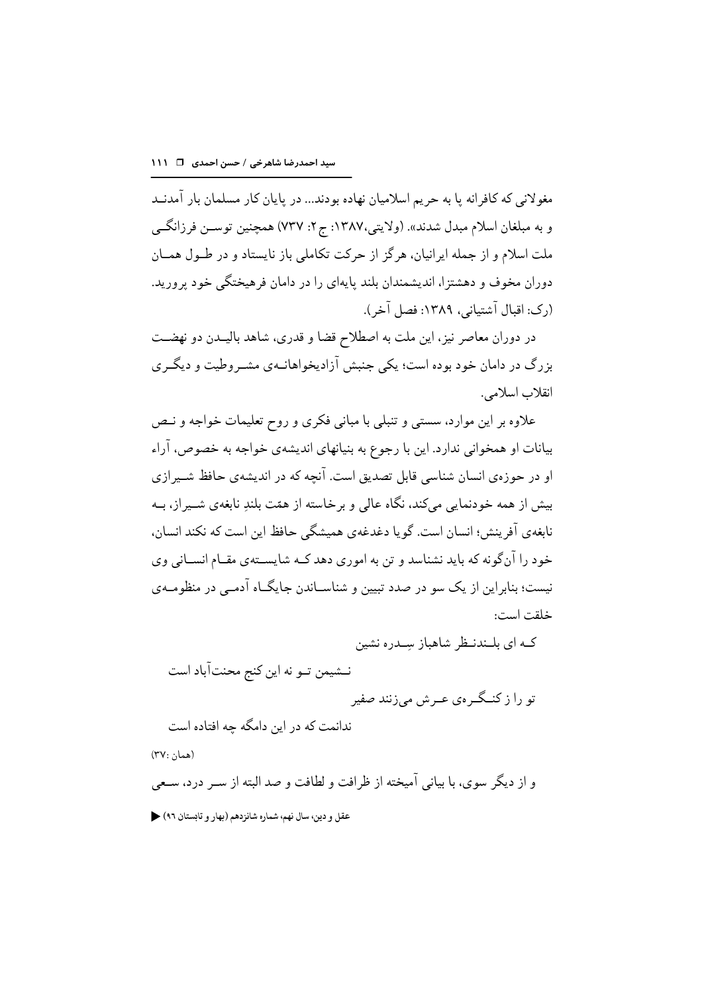مغولانی که کافرانه پا به حریم اسلامیان نهاده بودند... در پایان کار مسلمان بار آمدنــد و به مبلغان اسلام مبدل شدند». (ولايتي،١٣٨٧: ج٢: ٧٣٧) همچنين توســن فرزانگــي ملت اسلام و از جمله ایرانیان، هرگز از حرکت تکاملی باز نایستاد و در طــول همــان دوران مخوف و دهشتزا، اندیشمندان بلند پایهای را در دامان فرهیختگی خود پرورید. (رک: اقبال آشتیانی، ۱۳۸۹: فصل آخر).

در دوران معاصر نیز، این ملت به اصطلاح قضا و قدری، شاهد بالیـدن دو نهضـت بزرگ در دامان خود بوده است؛ یکی جنبش آزادیخواهانــهی مشــر وطیت و دیگــری انقلاب اسلامي.

علاوه بر این موارد، سستبی و تنبلی با مبانی فکری و روح تعلیمات خواجه و نـص بیانات او همخوانی ندارد. این با رجوع به بنیانهای اندیشهی خواجه به خصوص، آراء او در حوزهي انسان شناسي قابل تصديق است. آنحه كه در انديشهي حافظ شــيرازي بیش از همه خودنمایی میکند، نگاه عالی و برخاسته از همّت بلندِ نابغهی شـیراز، بــه نابغهي آفرينش؛ انسان است. گويا دغدغهي هميشگي حافظ اين است كه نكند انسان، خود را آنگونه که باید نشناسد و تن به اموری دهد کـه شایســتهی مقــام انســانی وی نیست؛ بنابراین از یک سو در صدد تبیین و شناسـاندن جایگــاه آدمــی در منظومــهی خلقت است:

کـه ای بلـندنـظر شاهباز سِـدره نشین نــشيمن تــو نه اين كنج محنتآباد است تو را ز کنـگـرهي عـرش ميزنند صفير ندانمت که در این دامگه چه افتاده است (همان :٣٧) و از دیگر سوی، با بیانی آمیخته از ظرافت و لطافت و صد البته از سـر درد، سـعی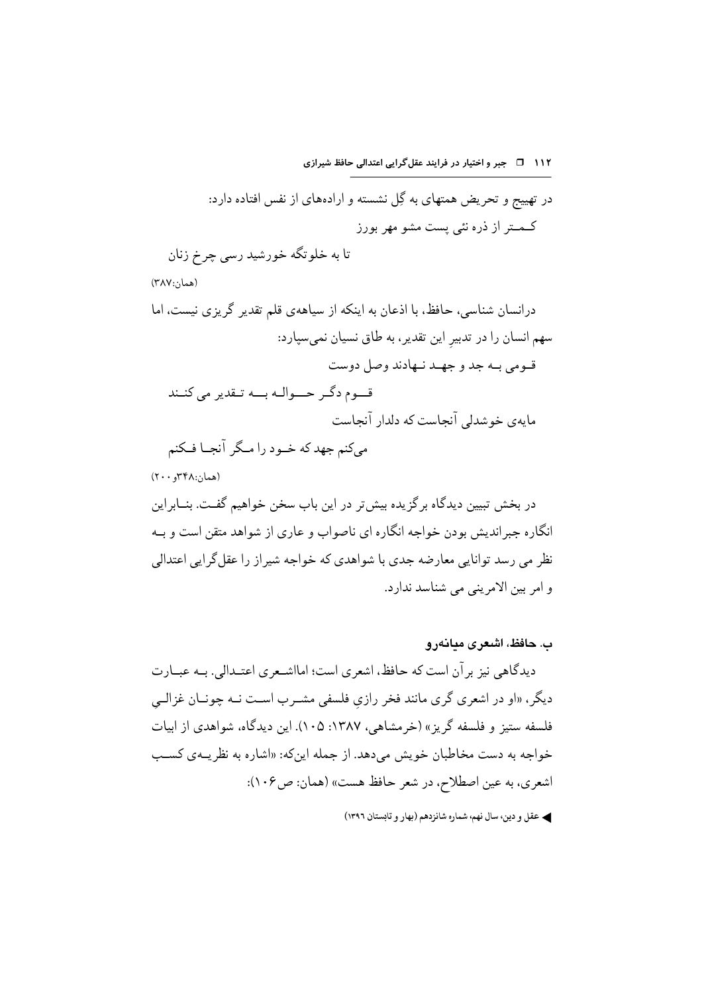۱۱۲ 1 - جبر و اختیار در فرایند عقل گرایی اعتدالی حافظ شیرازی در تهییج و تحریض همتهای به گِل نشسته و ارادههای از نفس افتاده دارد: کـمــتر از ذره نئي پست مشو مهر بورز تا به خلوتگه خورشید رسی چرخ زنان (همان:۳۸۷) درانسان شناسی، حافظ، با اذعان به اینکه از سیاههی قلم تقدیر گریزی نیست، اما سهم انسان را در تدبیر این تقدیر، به طاق نسیان نمی سیارد: قـومي بـه جد و جهـد نـهادند وصل دوست قوم دگر حسوالـه بــه تـقدير مي كنــند مایهی خوشدلی آنجاست که دلدار آنجاست می کنم جهد که خـود را مـگر آنجـا فـکنم  $(Y \cdot \cdot \cdot Y^{\alpha})$ (همان:۱۴۸ در بخش تبیین دیدگاه بر گز یده بیش تر در این باب سخن خواهیم گفـت. بنــابراین

انگاره جبر اندیش بودن خواجه انگاره ای ناصواب و عاری از شواهد متقن است و بـه نظر می رسد توانایی معارضه جدی با شواهدی که خواجه شیر از را عقل گرایی اعتدالی و امر بين الامريني مي شناسد ندارد.

- ب. حافظ، اشعری مبانهرو دیدگاهی نیز بر آن است که حافظ، اشعری است؛ امااشـعری اعتـدالی. بــه عبــارت ديگر، «او در اشعری گری مانند فخر رازی فلسفی مشــرب اســت نــه چونــان غزالــي فلسفه ستيز و فلسفه گريز » (خرمشاهي، ١٣٨٧: ١٠٥). اين ديدگاه، شواهدي از ابيات خواجه به دست مخاطبان خویش می دهد. از جمله این که: «اشاره به نظر پــهی کســب اشعري، به عين اصطلاح، در شعر حافظ هست» (همان: ص١٠۶):
	- ﴾ عقل و دين، سال نهم، شماره شانزدهم (بهار و تابستان ١٣٩٦)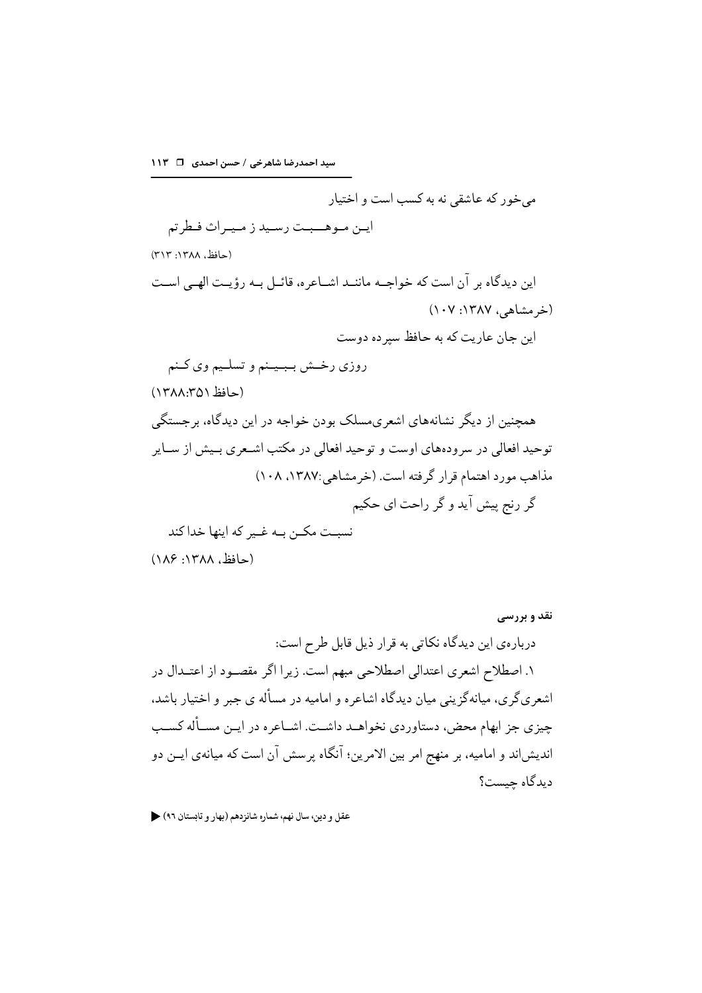سید احمدرضا شاهرخی / حسن احمدی۔ □ ١١٣

می خور که عاشقی نه به کسب است و اختیار

ايـن مـوهــبـت رسـيد ز مـيـراث فـطرتم

(حافظ, ۱۳۸۸: ۳۱۳)

این دیدگاه بر آن است که خواجـه ماننـد اشـاعره، قائـل بـه رؤیـت الهـى اسـت (خرمشاهی، ۱۳۸۷: ۱۰۷) این جان عاریت که به حافظ سبر ده دوست روزي رخـش بـبـيـنم و تسلـيم وي كـنم

(حافظ ١٣٨٨:٣٥١)

همحنین از دیگر نشانههای اشعری،مسلک بودن خواجه در این دیدگاه، برجستگی توحید افعالی در سرودههای اوست و توحید افعالی در مکتب اشـعری بـیش از ســایر مذاهب مورد اهتمام قرار گرفته است. (خرمشاهی:۱۳۸۷، ۱۰۸) گر رنج پیش آید و گر راحت ای حکیم نسبت مکـن بـه غـير که اينها خدا کند (حافظ، ۱۳۸۸: ۱۸۶)

نقد و بررسی دربارهي اين ديدگاه نكاتي به قرار ذيل قابل طرح است: ۱. اصطلاح اشعری اعتدالی اصطلاحی مبهم است. زیرا اگر مقصـود از اعتــدال در اشعریگری، میانهگزینی میان دیدگاه اشاعره و امامیه در مسأله ی جبر و اختیار باشد. چیزی جز ابهام محض، دستاوردی نخواهـد داشـت. اشـاعره در ایـن مسـأله کسـب اندیش|ند و امامیه، بر منهج امر بین الامرین؛ آنگاه پرسش آن است که میانهی ایــن دو ديدگاه حيست؟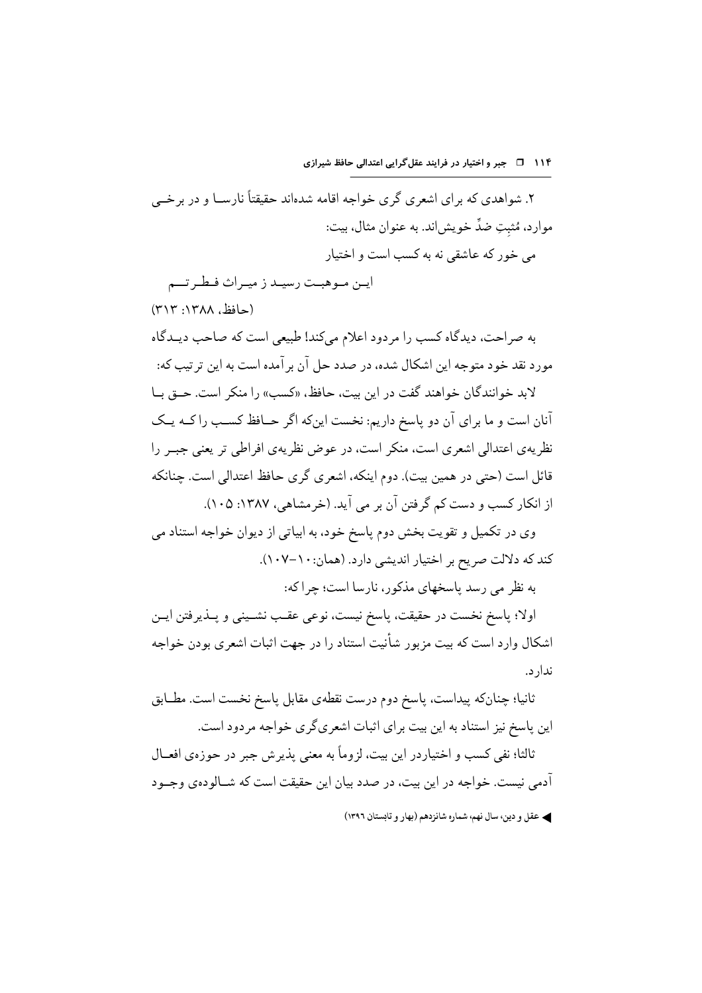۲. شواهدي که براي اشعري گري خواجه اقامه شدهاند حقيقتاً نارســا و در برخــي موارد، مُثبتِ ضدٌّ خويش!ند. به عنوان مثال، بيت: مے خور که عاشقے نه به کسب است و اختیار

ايـن مـوهبـت رسيـد ز ميـراث فـطـر تـــم (حافظ, ۱۳۸۸: ۳۱۳)

به صراحت، دیدگاه کسب را مردود اعلام میکند! طبیعی است که صاحب دیـدگاه مورد نقد خود متوجه این اشکال شده، در صدد حل آن بر آمده است به این تر تیب که: لابد خوانندگان خواهند گفت در این بیت، حافظ، «کسب» را منکر است. حــق بــا

آنان است و ما براي آن دو پاسخ داريم: نخست اينكه اگر حــافظ كســب را كــه يــك نظریهی اعتدالی اشعری است، منکر است، در عوض نظریهی افراطی تر یعنی جبــر را قائل است (حتی در همین بیت). دوم اینکه، اشعری گری حافظ اعتدالی است. جنانکه از انکار کسب و دست کم گرفتن آن بر می آید. (خرمشاهی، ۱۳۸۷: ۱۰۵).

وی در تکمیل و تقویت بخش دوم پاسخ خود، به ابیاتی از دیوان خواجه استناد می كند كه دلالت صريح بر اختيار انديشي دارد. (همان: ١٠-١٠٧).

به نظر می رسد پاسخهای مذکور، نارسا است؛ چراکه:

اولا؛ ياسخ نخست در حقيقت، ياسخ نيست، نوعي عقـب نشــيني و يــذير فتن ايــن اشکال وارد است که بیت مزبور شأنیت استناد را در جهت اثبات اشعری بودن خواجه ندار د.

ثانيا؛ چنانكه پيداست، پاسخ دوم درست نقطهي مقابل پاسخ نخست است. مطـابق این پاسخ نیز استناد به این بیت برای اثبات اشعریگری خواجه مردود است.

ثالثا؛ نفي كسب و اختيار در اين بيت، لزوماً به معنى بذير ش جير در حوزهي افعــال آدمی نیست. خواجه در این بیت، در صدد بیان این حقیقت است که شــالودهی وجــود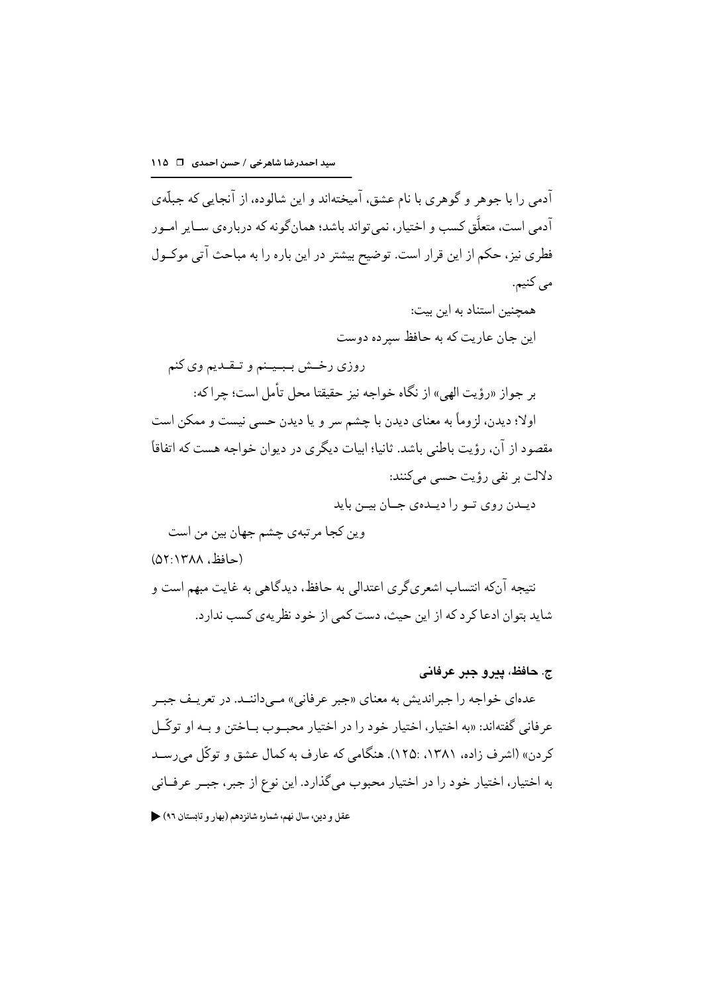آدمی را با جوهر و گوهری با نام عشق، آمیختهاند و این شالوده، از آنحایه که حیلّهی آدمی است، متعلَّق کسب و اختیار، نمیتواند باشد؛ همانگونه که دربارهی ســایر امــور فطري نيز، حكم از اين قرار است. توضيح بيشتر در اين باره را به مباحث آتي موكـول مي کنيم. همحنین استناد به این بیت: این جان عاریت که به حافظ سبر ده دوست روزي رخش ببينم و تـقـديم وي كنم بر جواز «رؤيت الهي» از نگاه خواجه نيز حقيقتا محل تأمل است؛ چراكه: اولا؛ ديدن، لزوماً به معناي ديدن با چشم سر و يا ديدن حسى نيست و ممكن است مقصود از آن، رؤیت باطنی باشد. ثانیا؛ ابیات دیگری در دیوان خواجه هست که اتفاقاً دلالت ہر نفی رؤیت حسے مےکنند: ديــدن روى تــو را ديــدهى جــان بيــن بايد وين كجا مرتبهي چشم جهان بين من است (حافظ، ۱۳۸۸:۵۲۱) نتيجه آنكه انتساب اشعريگري اعتدالي به حافظ، ديدگاهي به غايت مبهم است و

شاید بتوان ادعا کر د که از این حیث، دست کمی از خود نظریهی کسب ندارد.

#### ج. حافظ، پيرو جين عرفاني

عدهای خواجه را جبر اندیش به معنای «جبر عرفانی» مــی(اننــد. در تعریــف جبــر عرفاني گفتهاند: «به اختيار، اختيار خود را در اختيار محبـوب بــاختن و بــه او توڭــل کردن» (اشرف زاده، ۱۳۸۱، :۱۲۵). هنگامی که عارف به کمال عشق و توکّل می رسـد به اختیار، اختیار خود را در اختیار محبوب میگذارد. این نوع از جبر، جبـر عرفــانی عقل و دين، سال نهم، شماره شانزدهم (بهار و تابستان ٩٦) ﴿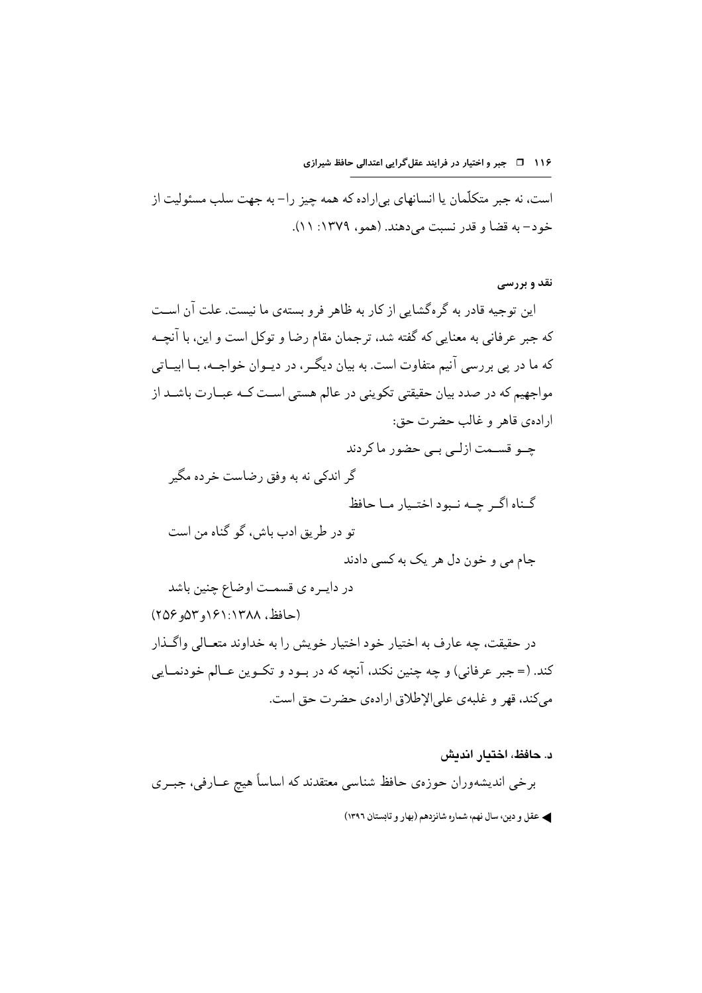است، نه جبر متکلّمان یا انسانهای بی|راده که همه چیز را– به جهت سلب مسئولیت از خود– به قضا و قدر نسبت می دهند. (همو، ۱۳۷۹: ۱۱).

#### **نقد و بررسی**

این توجیه قادر به گر هگشایی از کار به ظاهر فرو بستهی ما نیست. علت آن اسـت که جبر عرفانی به معنایی که گفته شد، ترجمان مقام رضا و توکل است و این، با آنچــه که ما در پی بررسی آنیم متفاوت است. به بیان دیگـر، در دیــوان خواجــه، بــا ابیــاتی مواجهیم که در صدد بیان حقیقتی تکوینی در عالم هستی اسـت کــه عبــارت باشــد از ارادهي قاهر و غالب حضرت حق: چےو قسـمت ازلـی ہے حضور ماکردند گر اندکی نه به وفق رضاست خر ده مگیر گناه اگ حـه نـهود اختـيار مـا حافظ تو در طريق ادب باش، گو گناه من است جام می و خون دل هر یک به کسی دادند در دايـره ي قسمـت اوضاع چنين باشد (حافظ، ۱۳۸۸:۱۳۸۸و ۵۳مو ۲۵۶) در حقیقت، چه عارف به اختیار خود اختیار خویش را به خداوند متعــالی واگــذار کند. (= جبر عرفاني) و چه چنين نکند، آنچه که در بـود و تکـوين عــالم خودنمــايي مي كند، قهر و غلبه ي على الإطلاق ارادهي حضرت حق است.

د. حافظ، اختدار اندیش برخي انديشەوران حوزەي حافظ شناسي معتقدند كه اساساً هيچ عــارفي، جبــري ﴾ عقل و دين، سال نهم، شماره شانزدهم (بهار و تابستان ١٣٩٦)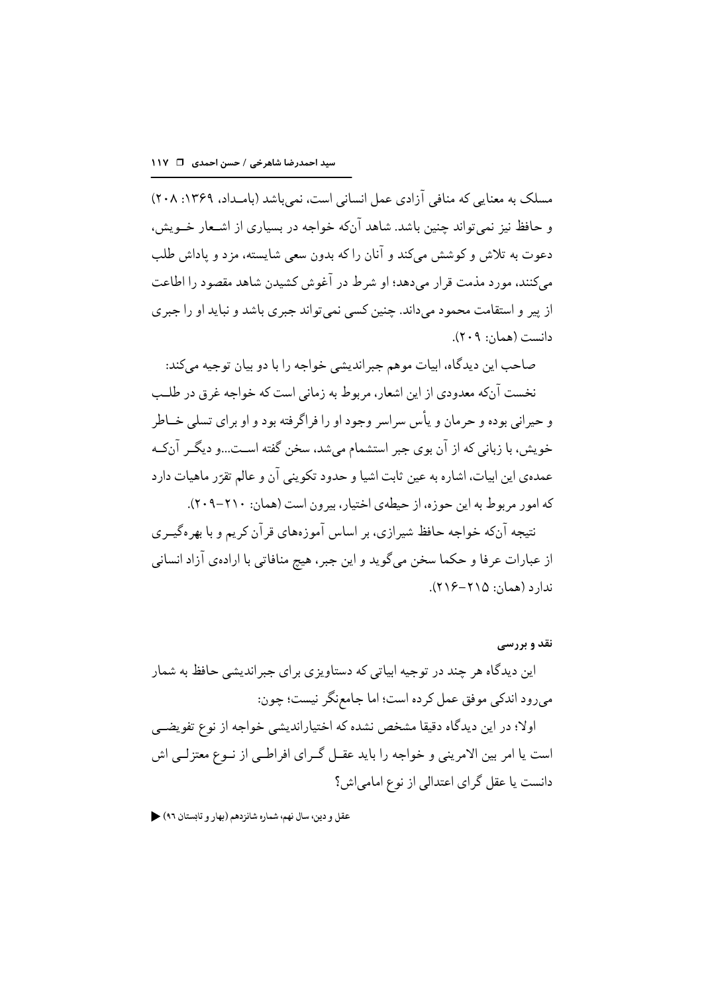مسلک به معنایی که منافی آزادی عمل انسانی است، نمی باشد (بامـداد، ۱۳۶۹: ۲۰۸) و حافظ نیز نمی تواند چنین باشد. شاهد آنکه خواجه در بسیاری از اشـعار خــویش، دعوت به تلاش و کوشش میکند و آنان را که بدون سعی شایسته، مزد و یاداش طلب مي كنند، مورد مذمت قرار مي دهد؛ او شرط در آغوش كشيدن شاهد مقصود را اطاعت از پیر و استقامت محمود میداند. چنین کسی نمی تواند جبری باشد و نباید او را جبری دانست (همان: ٢٠٩).

صاحب اين ديدگاه، ابيات موهم جبرانديشي خواجه را با دو بيان توجيه ميكند: نخست آنکه معدودی از این اشعار، مربوط به زمانی است که خواجه غرق در طلب و حيراني بوده و حرمان و پأس سراسر وجود او را فراگر فته بود و او براي تسلي خــاطر خویش، با زبانی که از آن بوی جبر استشمام می شد، سخن گفته اسـت...و دیگـر آن٤ـه عمدهي اين ابيات، اشاره به عين ثابت اشيا و حدود تكويني آن و عالم تقرّر ماهيات دارد كه امور مربوط به اين حوزه، از حيطهي اختيار، بيرون است (همان: ٢١٠-٢٠٩). نتیجه آنکه خواجه حافظ شیرازی، بر اساس آموزههای قرآن کریم و با بهرهگیــری از عبارات عرفا و حکما سخن میگوید و این جبر، هیچ منافاتی با ارادهی آزاد انسانی  $(L1)$ ندار د (همان: ۲۱۵–۲۱۶).

نقد و بررسی این دیدگاه هر چند در توجیه ابیاتی که دستاویزی بر ای جبر اندیشی حافظ به شمار مي رود اندكي موفق عمل كرده است؛ اما جامعنگر نيست؛ چون: اولا؛ در این دیدگاه دقیقا مشخص نشده که اختیاراندیشی خواجه از نوع تفویضــی است یا امر بین الامرینی و خواجه را باید عقــل گــرای افراطــی از نــوع معتزلــی اش دانست یا عقل گرای اعتدالی از نوع امامی اش؟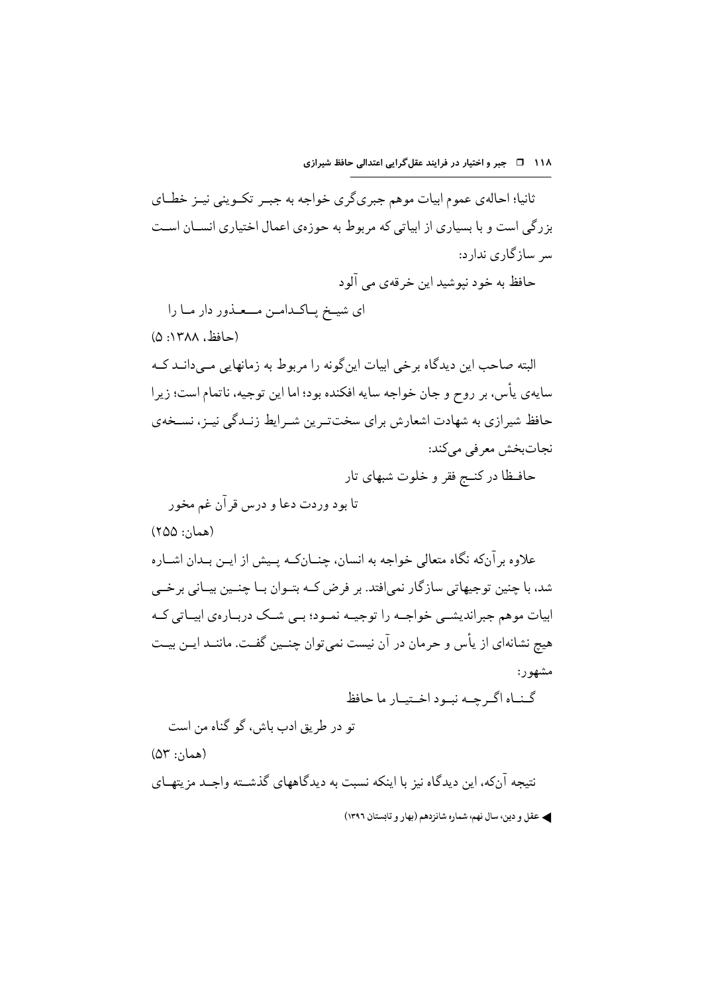۱۱۸ 1 ه جبر و اختیار در فرایند عقل گرایی اعتدالی حافظ شیرازی

ثانیا؛ احالهی عموم ابیات موهم جبریگری خواجه به جبـر تکـوینی نیـز خطـای بزرگی است و با بسیاری از ابیاتی که مربوط به حوزهی اعمال اختیاری انســان اسـت سر سازگاری ندارد: حافظ به خود نيوشيد اين خرقهي مي ألود ای شیخ پاکدامن مــعـذور دار مـا را (حافظ، ۱۳۸۸: ۵) البته صاحب این دیدگاه برخی ابیات این گونه را مربوط به زمانهایی مبی دانــد کــه

سايهي يأس، بر روح و جان خواجه سايه افكنده بود؛ اما اين توجيه، ناتمام است؛ زيرا حافظ شیرازی به شهادت اشعارش برای سختتر پن شـرایط زنـدگی نیـز، نسـخهی نجاتبخش معرفي مي كند:

حافظا در کنــج فقر و خلوت شبهای تار

(همان: ۲۵۵)

علاوه بر آنکه نگاه متعالی خواجه به انسان، چنــانکــه پــیش از ایــن بــدان اشــاره شد، با چنین توجیهاتی سازگار نمی|فتد. بر فرض کـه بتـوان بــا چنــین بیــانی برخــی ابیات موہم جبر اندیشے خواجے را توجیے نمبود؛ بے شبک دربیارہی ابییاتی کیہ هیچ نشانهای از پأس و حرمان در آن نیست نمیتوان چنــین گفـت. ماننــد ایــن بیــت مشهور:

گناه اگرچه نبود اختيار ما حافظ

تو در طريق ادب باش، گو گناه من است

 $(\Delta \Upsilon$  : (همان)

نتیجه آنکه، این دیدگاه نیز با اینکه نسبت به دیدگاههای گذشته واجــد مزیتهــای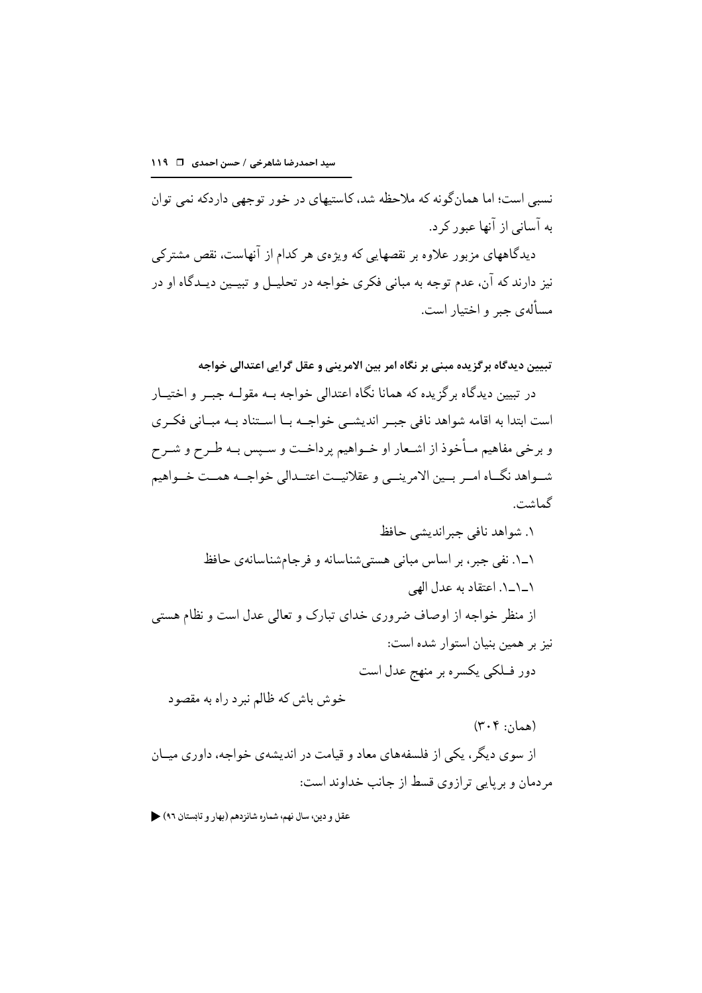نسبي است؛ اما همان گونه كه ملاحظه شد، كاستيهاي در خور توجهي داردكه نمي توان به آسانی از آنها عبور کر د.

دیدگاههای مزبور علاوه بر نقصهایی که ویژهی هر کدام از آنهاست، نقص مشترکی نیز دارند که آن، عدم توجه به مبانی فکری خواجه در تحلیــل و تبیــین دیــدگاه او در مسألهي جبر و اختيار است.

تبيين ديدگاه برگزيده مبني بر نگاه امر بين الامريني و عقل گرايي اعتدالي خواجه در تبیین دیدگاه بر گزیده که همانا نگاه اعتدالی خواجه بــه مقولــه جبــر و اختیــار است ابتدا به اقامه شواهد نافي جبـر انديشــي خواجــه بــا اســتناد بــه مبــاني فكــرى و برخی مفاهیم مـأخوذ از اشـعار او خــواهیم پرداخــت و ســپس بــه طــرح و شــرح شـواهد نگــاه امــر بــين الامرينــي و عقلانيــت اعتــدالي خواجــه همــت خــواهيم گماشت.

۱. شواهد نافی جبر اندیشی حافظ ۱ـ۱. نفی جبر ، بر اساس مبانی هستی شناسانه و فرجامشناسانهی حافظ ١\_١\_١. اعتقاد به عدل الهي از منظر خواجه از اوصاف ضروری خدای تبارک و تعالی عدل است و نظام هستی نیز بر همین بنیان استوار شده است: دور فــلکي يکسره بر منهج عدل است خوش باش كه ظالم نبرد راه به مقصود

 $(\mathbf{r} \cdot \mathbf{r}$  : (همان) از سوی دیگر ، یکی از فلسفههای معاد و قیامت در اندیشهی خواجه، داوری میــان مر دمان و بر پایی ترازوی قسط از جانب خداوند است: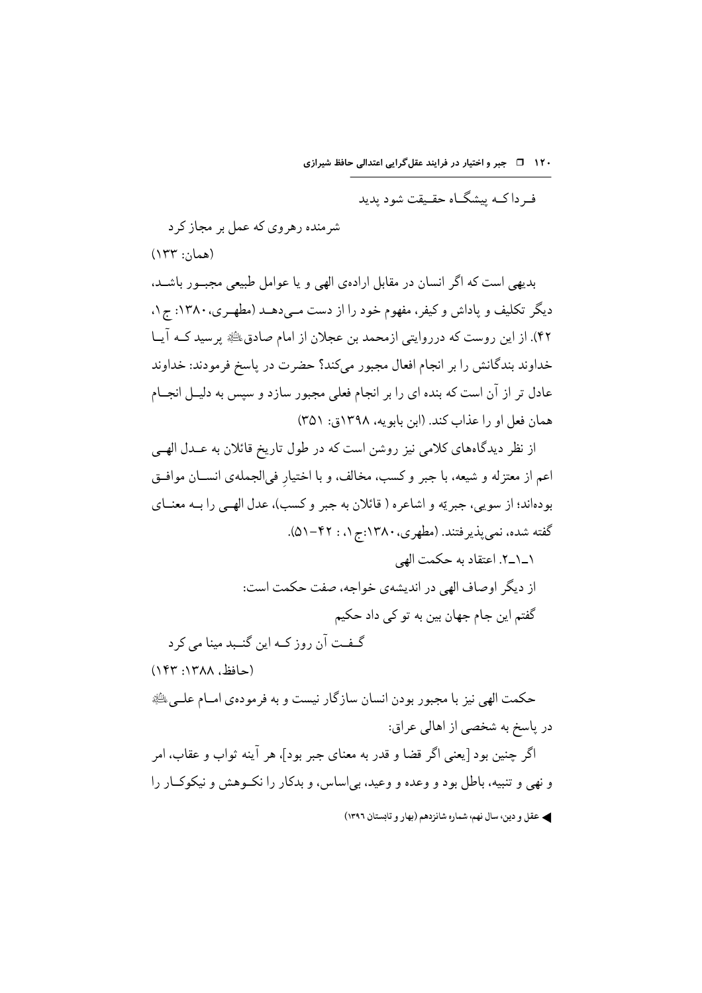۱۲۰ ق = جبر و اختیار در فرایند عقل گرایی اعتدالی حافظ شیرازی

ف داک میشگاه حقیقت شود بدید

شر منده رهروی که عمل بر مجاز کر د  $(154::12)$ 

بدیهی است که اگر انسان در مقابل ارادهی الهی و یا عوامل طبیعی مجبــور باشــد، دیگر تکلیف و یاداش و کیفر، مفهوم خود را از دست مـیدهــد (مطهــری، ۱۳۸۰: ج۱. ۴۲). از این روست که درروایتی ازمحمد بن عجلان از امام صادق، ای پرسید کــه آیــا خداوند بندگانش را بر انجام افعال مجبور میکند؟ حضرت در پاسخ فرمودند: خداوند عادل تر از آن است که بنده ای را بر انجام فعلی مجبور سازد و سپس به دلیــل انجــام همان فعل او را عذاب كند. (ابن بابو یه، ۱۳۹۸ق: ۳۵۱)

از نظر دیدگاههای کلامی نیز روشن است که در طول تاریخ قائلان به عــدل الهــی اعم از معتزله و شیعه، با جبر و کسب، مخالف، و با اختیار فی|لجملهی انســان موافــق بودهاند؛ از سويې، جبريّه و اشاعره ( قائلان به جبر و كسب)، عدل الهـبي را بــه معنــاي گفته شده، نمي يذيرفتند. (مطهري، ١٣٨٠:ج ١، : ٤٢-٥١).

١\_١\_٢. اعتقاد به حكمت الهي از دیگر اوصاف الهی در اندیشهی خواجه، صفت حکمت است: گفتم این جام جهان بین به تو کی داد حکیم گـفـت آن روز كــه اين گنــبد مينا مى كرد

(حافظ، ١٣٨٨: ١۴٣) حکمت الهي نيز با مجبور بودن انسان سازگار نيست و به فرمودهي امــام علــي ﷺ در پاسخ به شخصی از اهالی عراق: اگر جنين بود [يعني اگر قضا و قدر به معناي جبر بود]، هر آينه ثواب و عقاب، امر

و نهی و تنبیه، باطل بود و وعده و وعید، بی اساس، و بدکار را نک وهش و نیکوک\ر را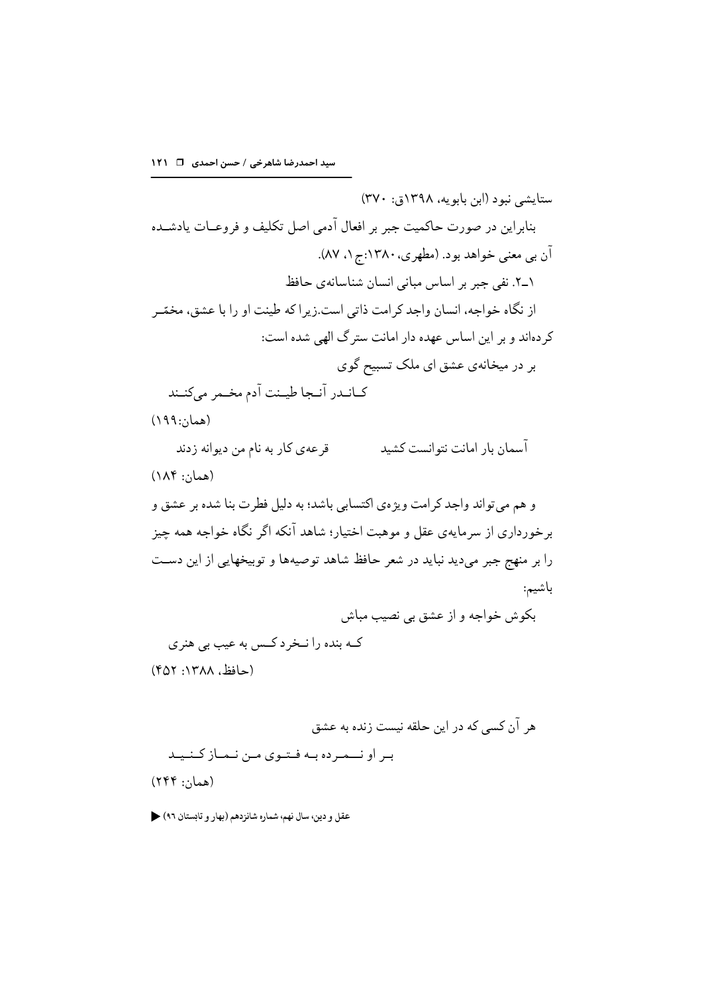ستايشي نبود (ابن بابويه، ١٣٩٨ق: ٣٧٠) بنابراین در صورت حاکمیت جبر بر افعال آدمی اصل تکلیف و فروعـات یادشــده آن بي معنى خواهد بود. (مطهري، ١٣٨٠:ج ١. ٨٧). ١ـ٢. نفي جبر بر اساس مباني انسان شناسانهي حافظ از نگاه خواجه، انسان واجد کرامت ذاتی است.زیر اکه طینت او را با عشق، مخمّـر کر دہاند و بر این اساس عهده دار امانت ستر گ الهی شده است: بر در میخانهی عشق ای ملک تسبیح گوی كبانيدر آنيجا طيبنت آدم مخيمر مى كنبند  $(199:5)$ قر عه ي كار به نام من ديوانه زدند آسمان بار امانت نتوانست کشید  $(\lambda \wedge f$ : (همان) و هم مي تواند واجد كرامت ويژهي اكتسابي باشد؛ به دليل فطرت بنا شده بر عشق و برخورداری از سرمایهی عقل و موهبت اختیار؛ شاهد آنکه اگر نگاه خواجه همه چیز را بر منهج جبر مىديد نبايد در شعر حافظ شاهد توصيهها و توبيخهايي از اين دست باشيم: بکوش خواجه و از عشق یی نصیب مباش کـه بنده را نـخر د کـس به عيب بي هنري (حافظ, ۱۳۸۸: ۴۵۲)

هر آن کسی که در این حلقه نیست زنده به عشق بر او نــمرده بـه فـتوى مـن نـمـاز كـنـيـد  $(799::1)$ همان: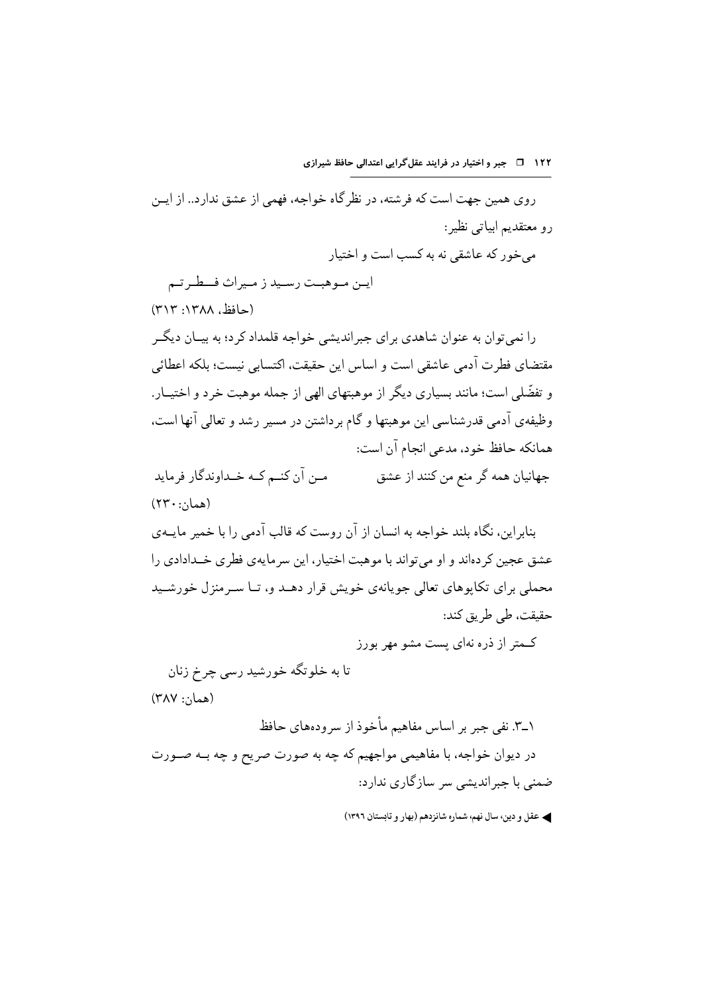روی همین جهت است که فرشته، در نظرگاه خواجه، فهمی از عشق ندارد.. از ایـن رو معتقدیم ابیاتی نظیر: مے خور که عاشقے نه به کسب است و اختیار

ايـن مـوهبـت رسـيد ز مـيراث فــطـر تـم (حافظ، ١٣٨٨: ٣١٣)

را نمی توان به عنوان شاهدی برای جبراندیشی خواجه قلمداد کر د؛ به بیـان دیگــر مقتضاي فطرت آدمي عاشقي است و اساس اين حقيقت، اكتسابي نيست؛ بلكه اعطائي و تفضّلي است؛ مانند بسياري ديگر از موهبتهاي الهي از جمله موهبت خرد و اختيــار. وظیفهی آدمی قدرشناسی این موهبتها و گام بر داشتن در مسیر رشد و تعالی آنها است، همانکه حافظ خود، مدعی انجام آن است:

مــن آن كنــم كــه خــداوندگار فرمايد جهانیان همه گر منع من کنند از عشق  $(11 + \cdots + \cdots)$ 

بنابراین، نگاه بلند خواجه به انسان از آن روست که قالب آدمی را با خمیر مایــهی عشق عجین کر دهاند و او می تواند با موهبت اختیار، این سر مایهی فطری خــدادادی را محملی برای تکاپوهای تعالی جویانهی خویش قرار دهـد و، تــا سـرمنزل خورشـيد حقيقت، طي طريق كند:

کـمتر از ذره نهای پست مشو مهر بورز

(همان: ۳۸۷)

١\_٣. نفي جبر بر اساس مفاهيم مأخوذ از سرودههاي حافظ در دیوان خواجه، با مفاهیمی مواجهیم که چه به صورت صریح و چه بــه صــورت ضمنی با جبراندیشی سر سازگاری ندارد: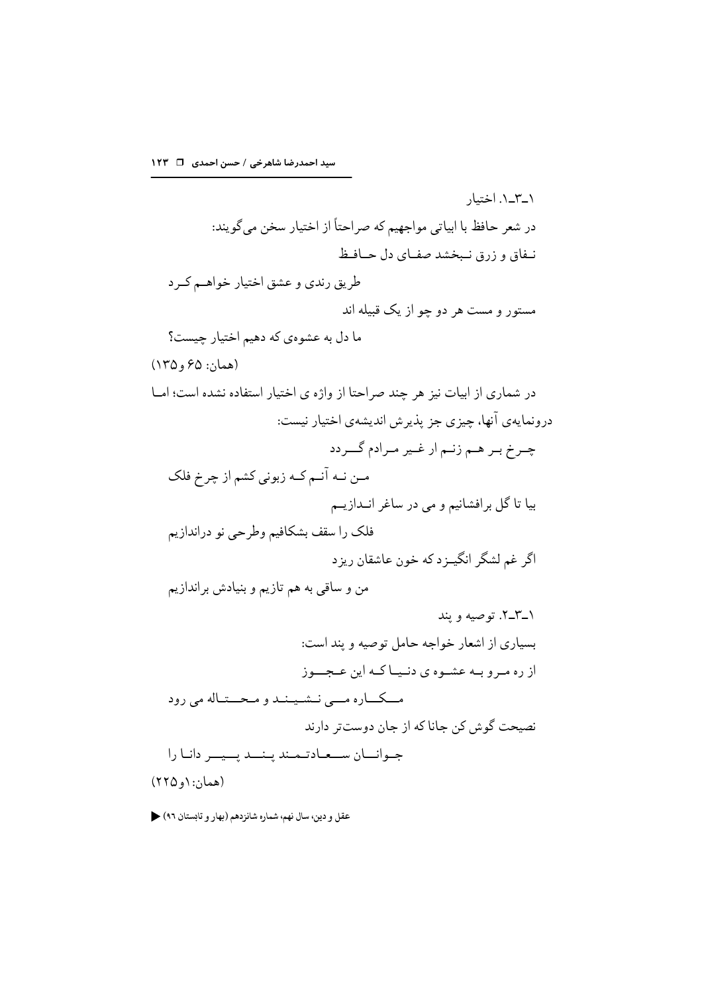١\_٣\_١. اختيار در شعر حافظ با ابياتي مواجهيم كه صراحتاً از اختيار سخن مي گويند: نيفاق و زرق نيبخشد صفياي دل حيافيظ طريق رندي و عشق اختيار خواهـم كـرد مستور و مست هر دو چو از یک قبیله اند ما دل به عشوهي كه دهيم اختيار چيست؟ (همان: ۶۵ و ۱۳۵) در شماری از ابیات نیز هر چند صراحتا از واژه ی اختیار استفاده نشده است؛ امــا درونمایهی آنها، چیزی جز پذیرش اندیشهی اختیار نیست: چـرخ بـر هـم زنـم ار غـير مـرادم گــردد مـن نـه آنـم كـه زبوني كشم از چرخ فلك بيا تا گل برافشانيم و مي در ساغر انــدازيــم فلک را سقف بشکافیم وطرحی نو دراندازیم اگر غم لشگر انگیــزد که خون عاشقان ریزد من و ساقی به هم تازیم و بنیادش براندازیم ١\_٢\_٢. توصيه و بند بسیاری از اشعار خواجه حامل توصیه و پند است: از ره میرو بیه عشیوه ی دنیها کیه این عجب وز مــکــاره مـــي نــشـيــنــد و مـحـــتـاله مي رود نصیحت گوش کن جانا که از جان دوستتر دارند جبوانسان سيبعيادتيميند بينسد بسيسر دانيا را  $(510, 1)$ : (همان: ۱ و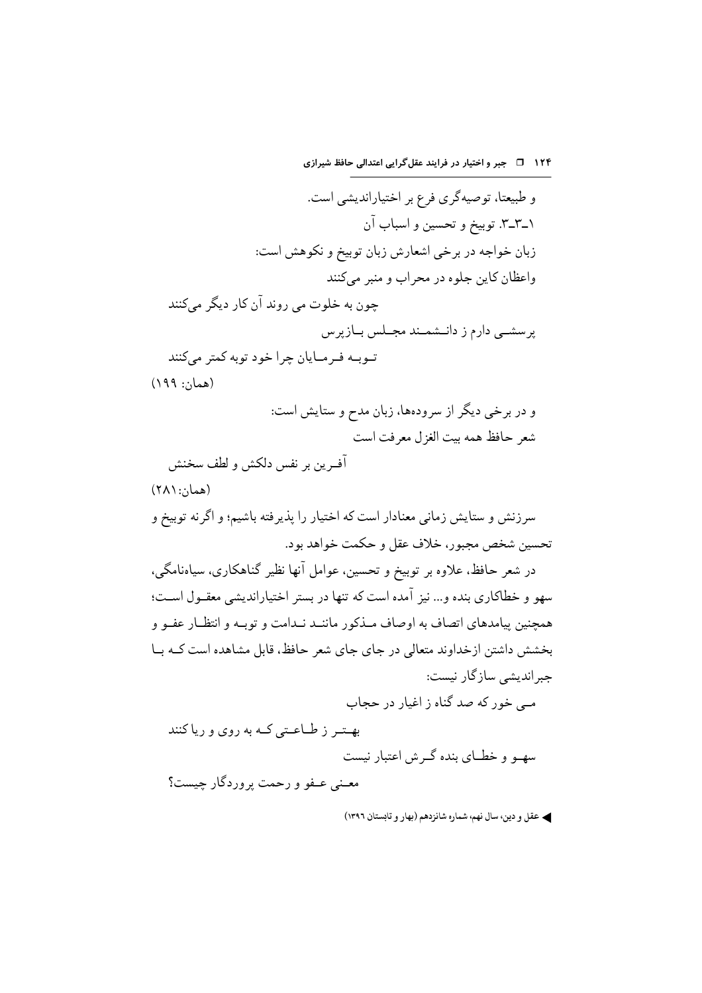۱۲۴ ق جبر و اختیار در فرایند عقل گرایی اعتدالی حافظ شیرازی

و طبیعتا، توصیهگری فرع بر اختیاراندیشی است. ۰–۳–۳. توبیخ و تحسین و اسباب آن زبان خواجه در برخي اشعارش زبان توبيخ و نكوهش است: واعظان کاین جلوه در محراب و منبر مے کنند چون به خلوت می روند آن کار دیگر میکنند پرسشــی دارم ز دانــشمــند مجــلس بــازیرس تــوبــه فــرمــايان چرا خود توبه كمتر مى كنند (همان: ۱۹۹) و در برخی دیگر از سرودهها، زبان مدح و ستایش است: شعر حافظ همه بيت الغزل معرفت است أفـرين بر نفس دلكش و لطف سخنش  $(A \wedge \cdots \wedge \cdots)$ سرزنش و ستایش زمانی معنادار است که اختیار را پذیرفته باشیم؛ و اگرنه توبیخ و تحسين شخص مجبور، خلاف عقل و حكمت خواهد بود. در شعر حافظ، علاوه بر توبیخ و تحسین، عوامل أنها نظیر گناهکاری، سیاهنامگی، سهو و خطاکاری بنده و... نیز آمده است که تنها در بستر اختیاراندیشی معقــول اســت؛ همچنین پیامدهای اتصاف به اوصاف مـذکور ماننــد نــدامت و توبــه و انتظــار عفــو و بخشش داشتن ازخداوند متعالی در جای جای شعر حافظ، قابل مشاهده است کـه بــا جبر اندیشی سازگار نیست: مے خور که صد گناه ز اغیار در حجاب بهتر ز طاعتی که به روی و ریاکنند سهبو و خطبای بنده گیرش اعتبار نیست معــني عــفو و رحمت پروردگار جيست؟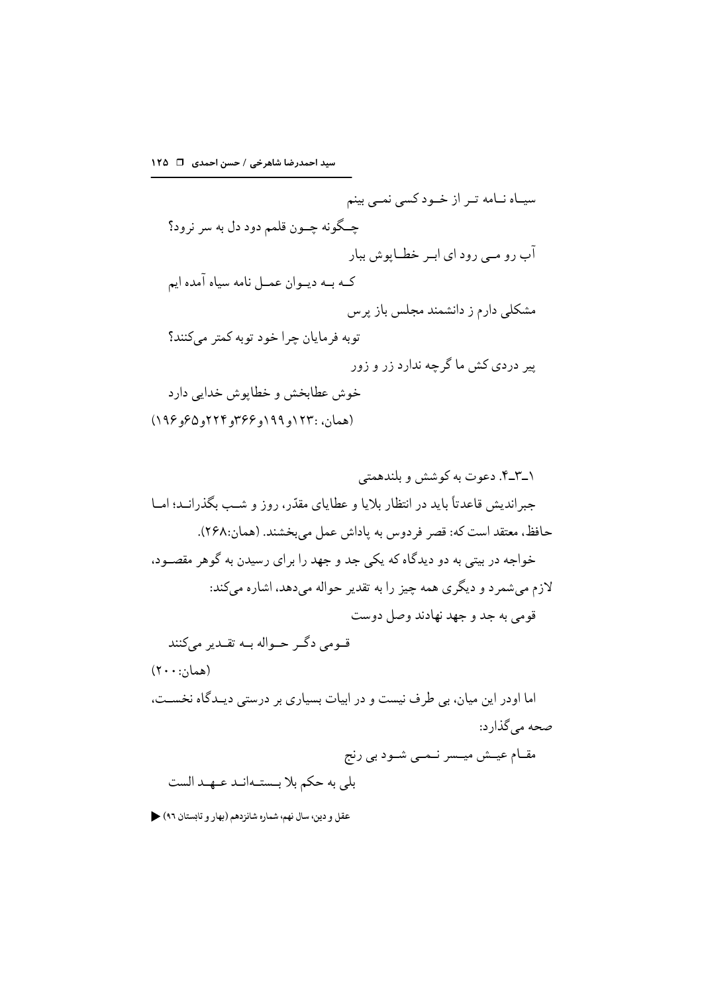سیـاه نــامه تــر از خــودکسی نمــی بینم چـگونه چــون قلمم دود دل به سر نرود؟ آب رو مــي رود اي ابــر خطــاپوش ببار کـه بـه ديـوان عمـل نامه سياه آمده ايم مشکلی دارم ز دانشمند مجلس باز پرس توبه فرمايان چرا خود توبه كمتر مىكنند؟ پیر دردی کش ما گرچه ندارد زر و زور خوش عطابخش و خطايوش خدايي دارد (همان، :١٢٣و١٩٩و ٣۶۶و٢٢٣و٥٢٥ و١٩۶)

صحه میگذارد: مقــام عيــش ميــسر نــمــي شــود بي رنج بلي به حكم بلا بـستـهانـد عـهـد الست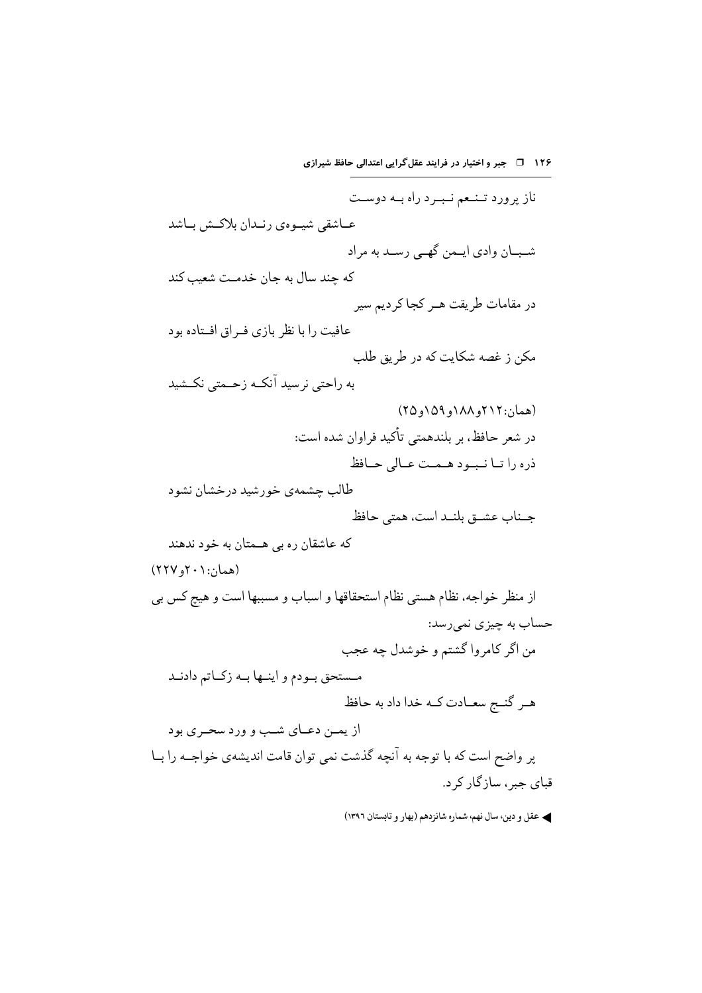۱۲۶ 1 - جبر و اختیار در فرایند عقل گرایی اعتدالی حافظ شیرازی ناز پرورد تـنـعم نـبـرد راه بـه دوسـت عــاشقى شيــوهي رنــدان بلاكــش بــاشد شـبــان وادي ايــمن گهــي رســد به مراد که چند سال به جان خدمـت شعیب کند در مقامات طریقت هـر کجا کردیم سیر عافیت را با نظر بازی فه اق افستاده بود مکن ز غصه شکایت که در طریق طلب به راحتي نرسيد آنكـه زحـمتي نكـشيد (همان:۲۱۲و ۱۸۸ و ۱۵۹ و ۲۵) در شعر حافظ، بر بلندهمتی تأکید فراوان شده است: ذره راتا نبود همت عالى حافظ طالب چشمهی خورشید درخشان نشود جناب عشــق بلنــد است، همتى حافظ که عاشقان ره بي هــمتان به خود ندهند  $(111)$ ، (همان: ۲۰۱ و از منظر خواجه، نظام هستي نظام استحقاقها و اسباب و مسببها است و هيچ كس بي حساب به چیزی نمی رسد: من اگر كامروا گشتم و خوشدل چه عجب مستحق بودم و اينــها بــه زكــاتم دادنــد هـر گنــج سعــادت كــه خدا داد به حافظ از يمــن دعــاي شــب و ورد سحــر ي بود پر واضح است که با توجه به آنچه گذشت نمی توان قامت اندیشهی خواجــه را بــا قبای چېر ، ساز گار کړ د.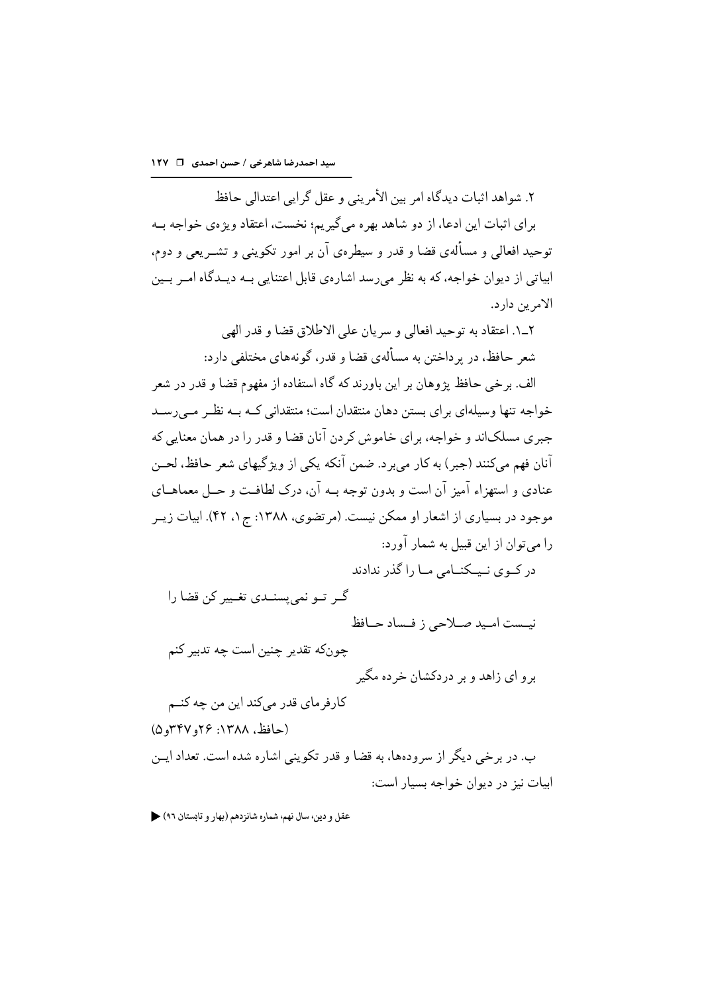٢. شواهد اثبات دیدگاه امر بین الأمرینے و عقل گرایے اعتدالی حافظ بر ای اثبات این ادعا، از دو شاهد بهره میگیریم؛ نخست، اعتقاد ویژهی خواجه بــه توحید افعالی و مسألهي قضا و قدر و سیطرهي آن بر امور تکوینی و تشـریعی و دوم، ابیاتی از دیوان خواجه، که به نظر می رسد اشارهی قابل اعتنایی بـه دیـدگاه امـر بـین الامر ین دار د.

٢\_١. اعتقاد به توجيد افعالي و سريان على الإطلاق قضا و قدر الهي شعر حافظ، در ير داختن به مسألهي قضا و قدر، گونههاي مختلفي دارد:

الف. برخی حافظ پژوهان بر این باورند که گاه استفاده از مفهوم قضا و قدر در شعر خواجه تنها وسیلهای برای بستن دهان منتقدان است؛ منتقدانی کـه بـه نظـر مـی رسـد جبري مسلکاند و خواجه، براي خاموش کردن آنان قضا و قدر را در همان معنايي که آنان فهم ميكنند (جبر) به كار مي برد. ضمن آنكه يكي از ويژگيهاي شعر حافظ، لحــن عنادي و استهزاء آميز آن است و بدون توجه بـه آن، درک لطافـت و حــل معماهــاي موجود در بسیاری از اشعار او ممکن نیست. (مرتضوی، ۱۳۸۸: ج ۱، ۴۲). ابیات زیــر را می توان از این قبیل به شمار آورد:

در کےوی نیکنیامے میا را گذر ندادند

گے تو نمی پسنے تغییر کن قضا را نيـست امـيد صـلاحي ز فـساد حـافظ

چونکه تقدير چنين است چه تدبير کنم بر و ای زاهد و بر دردکشان خر ده مگیر

کارفر مای قدر میکند این من چه کنــم (حافظ، ۱۳۸۸: ۲۶و ۳۴۷و۵) ب. در برخی دیگر از سرودهها، به قضا و قدر تکوینی اشاره شده است. تعداد ایــن ابيات نيز در ديوان خواجه بسيار است: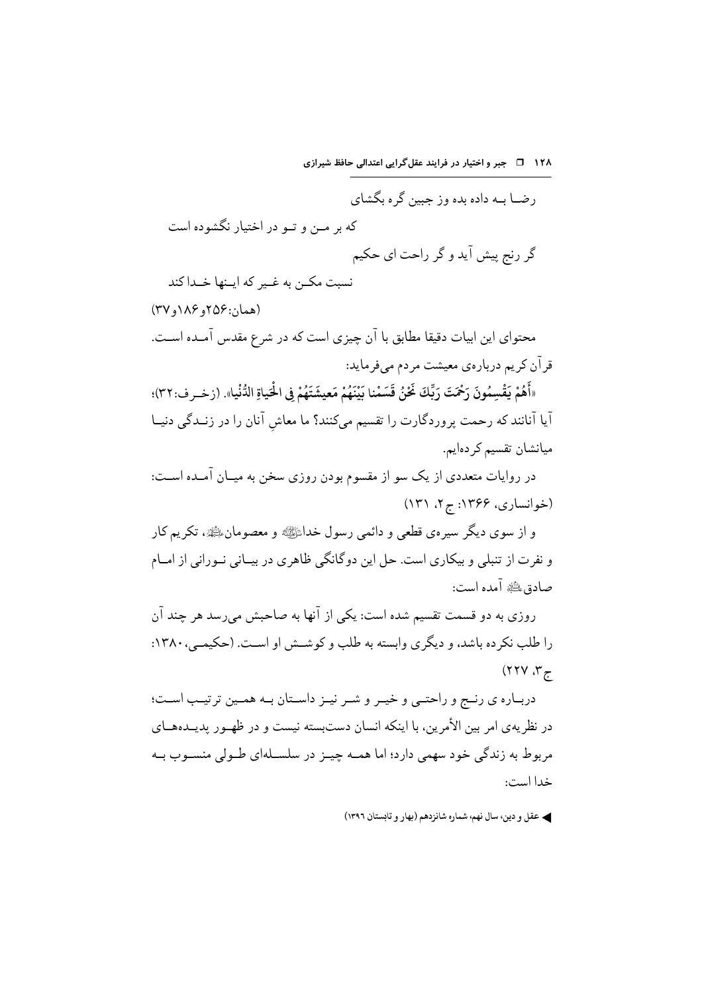۱۲۸ 1 - جبر و اختیار در فرایند عقل گرایی اعتدالی حافظ شیرازی

رضــا بــه داده بده وز حبین گره بگشای که بر مـن و تــو در اختيار نگشوده است گر رنج پیش آید و گر راحت ای حکیم نسبت مکــن به غــير که ايــنها خــدا کند (همان:۱۵۶و۱۸۶و ۲۷) محتواي اين ابيات دقيقا مطابق با آن چيزي است كه در شرع مقدس آمـده اسـت. قر آن کر یم دربارهی معیشت مر دم می فر ماید: «أَهُمْ يَقْسِمُونَ رَحْمَتَ رَبِّكَ غَيْنُ قَسَمْنا بَيْنَهُمْ مَعِيشَتَهُمْ فِي الْحَياةِ الدُّنْيا». (زخـر ف:٣٢)؛ آیا آنانند که رحمت پروردگارت را تقسیم میکنند؟ ما معاش آنان را در زنــدگی دنیــا میانشان تقسیم کر دهایم. در روایات متعددی از یک سو از مقسوم بودن روزی سخن به میـان آمـده اسـت: (خوانساری، ۱۳۶۶: ج۲، ۱۳۱) و از سوی دیگر سیرهی قطعی و دائمی رسول خداﷺ و معصومانﷺ، تکریم کار و نفرت از تنبلی و بیکاری است. حل این دوگانگی ظاهری در بیـانی نــورانی از امــام صادق لِظَيْرَ آمده است: روزي به دو قسمت تقسيم شده است: يكي از آنها به صاحبش مي رسد هر جند آن را طلب نکرده باشد، و دیگری وابسته به طلب و کوشش او است. (حکیمـی، ۱۳۸۰:  $(1117.77)$ دربـاره ي رنـج و راحتـي و خيـر و شـر نيـز داسـتان بـه همـين ترتيـب اسـت؛

در نظریهی امر بین الأمرین، با اینکه انسان دستبسته نیست و در ظهـور پدیــدههــای مربوط به زندگی خود سهمی دارد؛ اما همـه چیـز در سلســلهای طــولی منســوب بــه خدا است: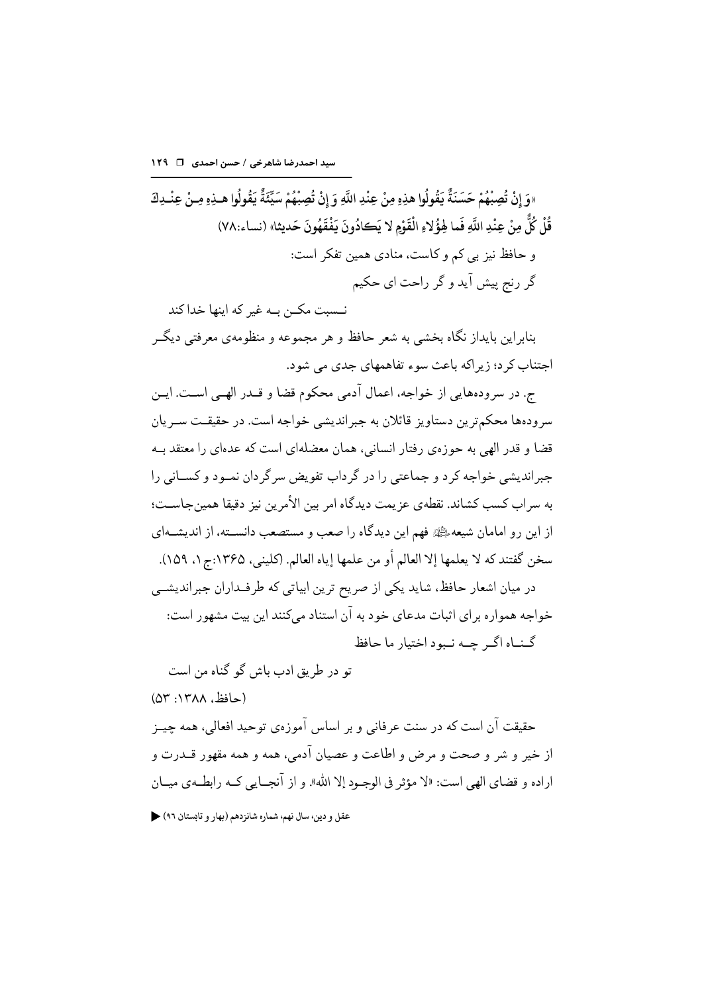«وَ إِنْ تُصِبْهُمْ حَسَنَةٌ يَقُولُوا هذِهِ مِنْ عِنْدِ اللَّهِ وَ إِنْ تُصِبْهُمْ سَيِّئَةٌ يَقُولُوا هـذِهِ مِـنْ عِنْـدِكَ قُلْ كُلٌّ مِنْ عِنْدِ اللَّهِ فَما هِؤُلاءِ الْقَوْمِ لا يَكادُونَ يَفْقَهُونَ حَديثا» (نساء:٧٨) و حافظ نیز بی کم و کاست، منادی همین تفکر است: گر رنج پیش آید و گر راحت ای حکیم

نــسبت مکــن بــه غیر که اینها خدا کند بنابراین بایداز نگاه بخشی به شعر حافظ و هر مجموعه و منظومهی معرفتی دیگـر اجتناب کر د؛ زیر اکه باعث سوء تفاهمهای جدی می شود.

ج. در سرودههایی از خواجه، اعمال آدمی محکوم قضا و قــدر الهــی اســت. ایــن سرودهها محکمترین دستاویز قائلان به جبراندیشی خواجه است. در حقیقــت ســریان قضا و قدر الهی به حوزهی رفتار انسانی، همان معضلهای است که عدهای را معتقد بــه جبراندیشی خواجه کر د و جماعتی را در گرداب تفویض سر گردان نمیود و کســانی را به سراب كسب كشاند. نقطهي عز يمت ديدگاه امر بين الأمرين نيز دقيقا همينجاسـت؛ از این رو امامان شیعه،ﷺ فهم این دیدگاه را صعب و مستصعب دانســته، از اندیشــهای سخن گفتند كه لا يعلمها إلا العالم أو من علمها إياه العالم. (كليني، ١٣۶۵:ج ١، ١٥٩). در میان اشعار حافظ، شاید یکی از صریح ترین ابیاتی که طرفـداران جبراندیشــی خواجه همواره برای اثبات مدعای خود به آن استناد می کنند این بیت مشهور است: گنساه اگیر جسه نسود اختیار ما حافظ

تو در طريق ادب باش گو گناه من است

(حافظ، ١٣٨٨: ٥٣)

حقيقت آن است كه در سنت عرفاني و بر اساس آموزوي توحيد افعالي، همه چيــز از خير و شر و صحت و مرض و اطاعت و عصيان آدمي، همه و همه مقهور قــدرت و اراده و قضاي الهي است: «لا مؤثر في الوجبود إلا الله». و از آنجبايي كــه رابطــهي ميــان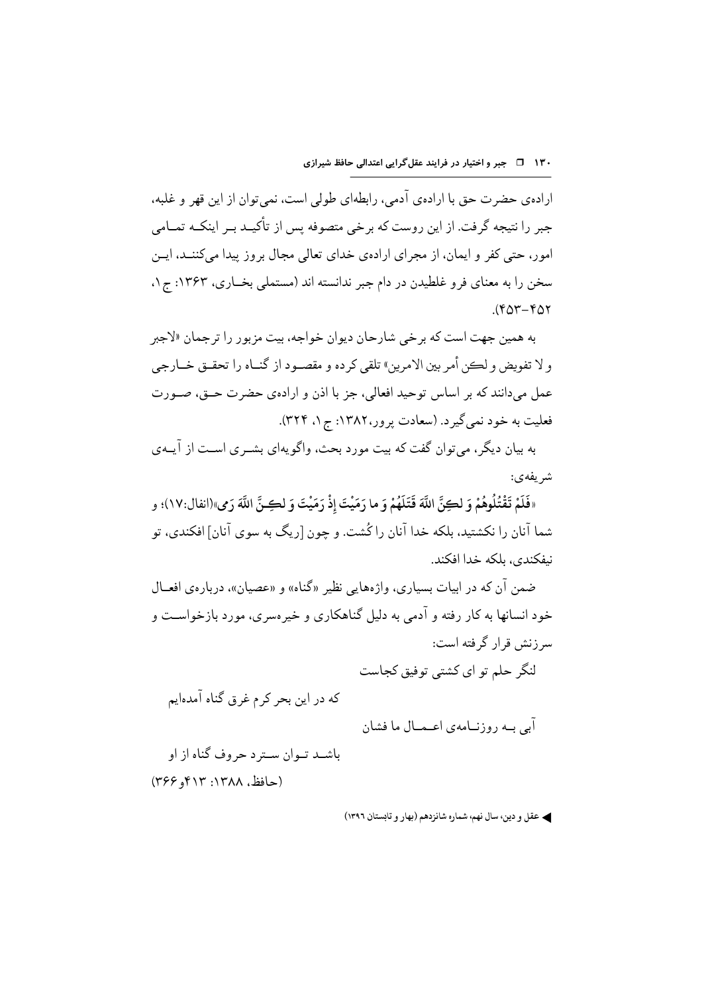ارادهي حضرت حق با ارادهي آدمي، رابطهاي طولي است، نمي توان از اين قهر و غلبه، جبر را نتیجه گرفت. از این روست که برخی متصوفه پس از تأکیــد بــر اینکــه تمــامی امور، حتی کفر و ایمان، از مجرای ارادهی خدای تعالی مجال بروز پیدا میکننــد، ایــن سخن را به معنای فرو غلطیدن در دام جبر ندانسته اند (مستملی بخــاری، ۱۳۶۳: ج۱.  $(60 - 60)$ 

به همین جهت است که بر خی شارحان دیوان خواجه، بیت مزبور را تر جمان «لاجبر و لا تفويض و لڪن أمر بين الامرين» تلقي كر ده و مقصـود از گنــاه را تحقــق خــارجي عمل مي دانند كه بر اساس توحيد افعالي، جز با اذن و ارادهي حضرت حــق، صــورت فعلیت به خود نمی گیر د. (سعادت پر ور،۱۳۸۲: ج ۱، ۳۲۴).

به بیان دیگر ، می توان گفت که بیت مورد بحث، واگو یهای بشــری اســت از آیــهی شريفهي:

«فَلَمْ تَقْتُلُوهُمْ وَ لِكِنَّ اللَّهَ قَتَلَهُمْ وَ ما رَمَيْتَ إِذْ رَمَيْتَ وَ لِكِنَّ اللَّهَ رَمي»(انفال:١٧)؛ و شما آنان را نکشتید، بلکه خدا آنان را کُشت. و چون [ریگ به سوی آنان] افکندی، تو نىفكندى، بلكه خدا افكند.

ضمن آن که در ابیات بسیاری، واژههایی نظیر «گناه» و «عصیان»، درباروی افعــال خود انسانها به کار رفته و آدمی به دلیل گناهکاری و خیر مسری، مورد بازخواست و سرزنش قرار گرفته است:

لنگر حلم تو ای کشتے توفیق کجاست

که در این بحر کرم غرق گناه آمدهایم

آبے بے روزنےامەی اعـمـال ما فشان

باشـد تـوان سـتر د حروف گناه از او (حافظ، ۱۳۸۸: ۴۱۳و ۲۶۶)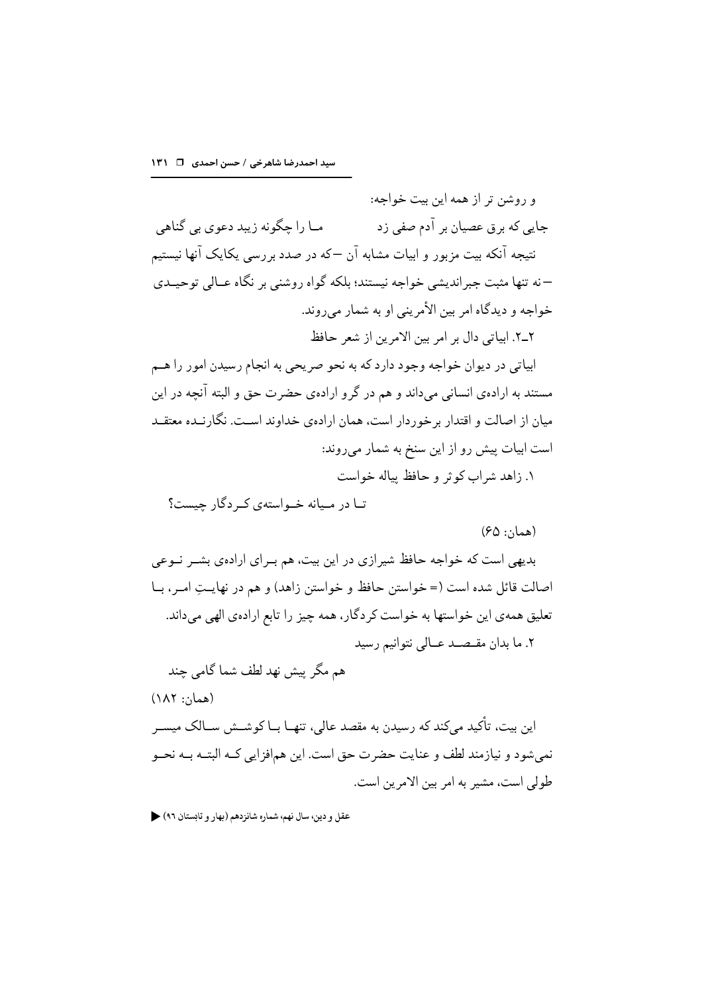و روشن تر از همه این بیت خواجه: مـا را چگونه زيبد دعوي بي گناهي جایی که برق عصیان بر آدم صفی زد نتیجه آنکه بیت مزبور و ابیات مشابه آن –که در صدد بررسی یکایک آنها نیستیم –نه تنها مثبت جبرانديشي خواجه نيستند؛ بلكه گواه روشني بر نگاه عــالي توحيــدي خواجه و ديدگاه امر بين الأمريني او به شمار مي روند. ٢\_٢. ابياتي دال بر امر بين الامرين از شعر حافظ ابیاتی در دیوان خواجه وجود دارد که به نحو صریحی به انجام رسیدن امور را هــم مستند به ارادهي انساني مي داند و هم در گر و ارادهي حضرت حق و البته آنچه در اين میان از اصالت و اقتدار بر خوردار است، همان ارادهی خداوند است. نگارنــده معتقــد است ابیات پیش رو از این سنخ به شمار میروند: ١. زاهد شراب کو ثر و حافظ بیاله خواست

تبا در میبانه خبواستهی که دگار جیست؟

 $(50:5)$ (همان

بدیهی است که خواجه حافظ شیرازی در این بیت، هم بــرای ارادهی بشــر نــوعی اصالت قائل شده است (= خواستن حافظ و خواستن زاهد) و هم در نهايــتِ امــر، بــا تعلیق همهی این خواستها به خواست کردگار، همه چیز را تابع ارادهی الهی میداند. ٢. ما بدان مقبصد عبالي نتوانيم رسيد

هم مگر پیش نهد لطف شما گامی جند

(همان: ۱۸۲)

این بیت، تأکید میکند که رسیدن به مقصد عالی، تنهـا بـا کوشــش ســالک میســر نمي شو د و نيازمند لطف و عنايت حضر ت حق است. اين همافز ايي كـه البتــه بــه نحــو طولي است، مشير به امر بين الامرين است.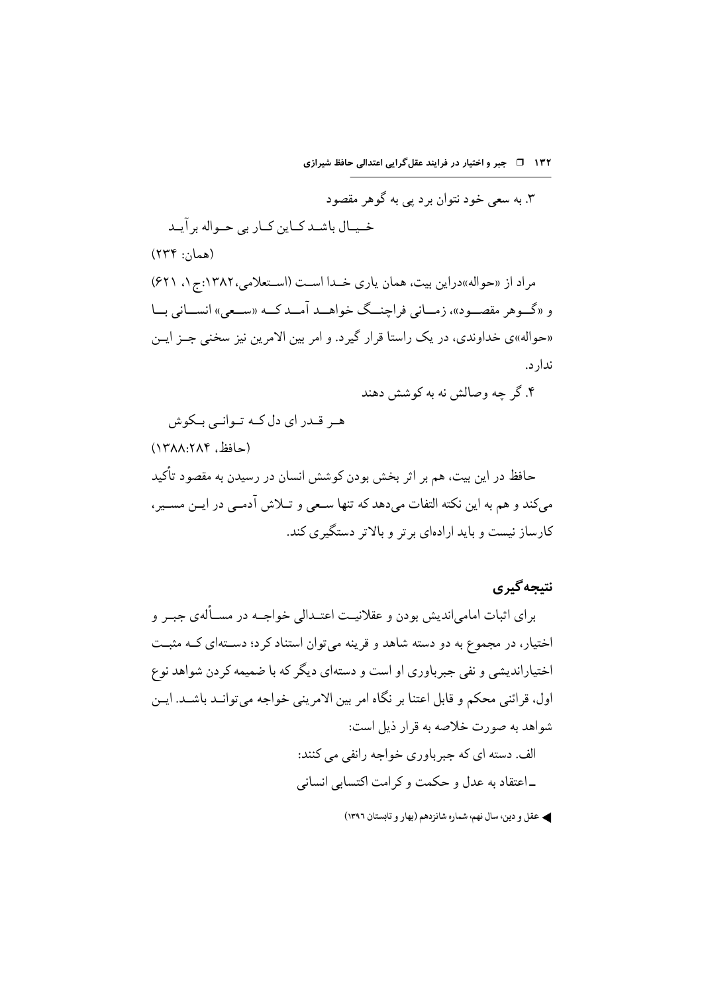۱۳۲ ق = جبر و اختیار در فرایند عقل گرایی اعتدالی حافظ شیرازی

۳. به سعی خود نتوان بر د پی به گوهر مقصود خيبال باشيد كيان كباريي حيواله بر آييد  $(549::12)$ مراد از «حواله»دراین بیت، همان یاری خـدا اسـت (اسـتعلامی، ۱۳۸۲:ج ۱، ۶۲۱) و «گـوهر مقصـود»، زمـاني فراچنــگ خواهــد آمــد کــه «ســع)» انســاني بــا «حواله»ی خداوندی، در یک راستا قرار گیرد. و امر بین الامرین نیز سخنی جـز ایـن ندار د.

۴. گر حه وصالش نه به کوشش دهند

ھے قیدر ای دل کیه تبوانے پیکوش (حافظ، ۱۳۸۸:۲۸۴) حافظ در این بیت، هم بر اثر بخش بودن کوشش انسان در رسیدن به مقصود تأکید مى كند و هم به اين نكته التفات مى دهد كه تنها سـعى و تــلاش آدمــى در ايــن مســير ، کارساز نیست و پاید ارادهای بر تر و پالاتر دستگیری کند.

نتبجه گیری

برای اثبات امامیاندیش بودن و عقلانیــت اعتــدالی خواجــه در مســألهی جبــر و اختیار، در مجموع به دو دسته شاهد و قرینه می توان استناد کر د؛ دســتهای کــه مثبــت اختیاراندیشی و نفی جبر باوری او است و دستهای دیگر که با ضمیمه کردن شواهد نوع اول، قرائني محكم و قابل اعتنا بر نگاه امر بين الامريني خواجه مي توانـد باشـد. ايـن شواهد به صورت خلاصه به قرار ذیل است: الف. دسته ای که جبر باوری خواجه رانفی می کنند: ـ اعتقاد به عدل و حکمت و کر امت اکتسابی انسانی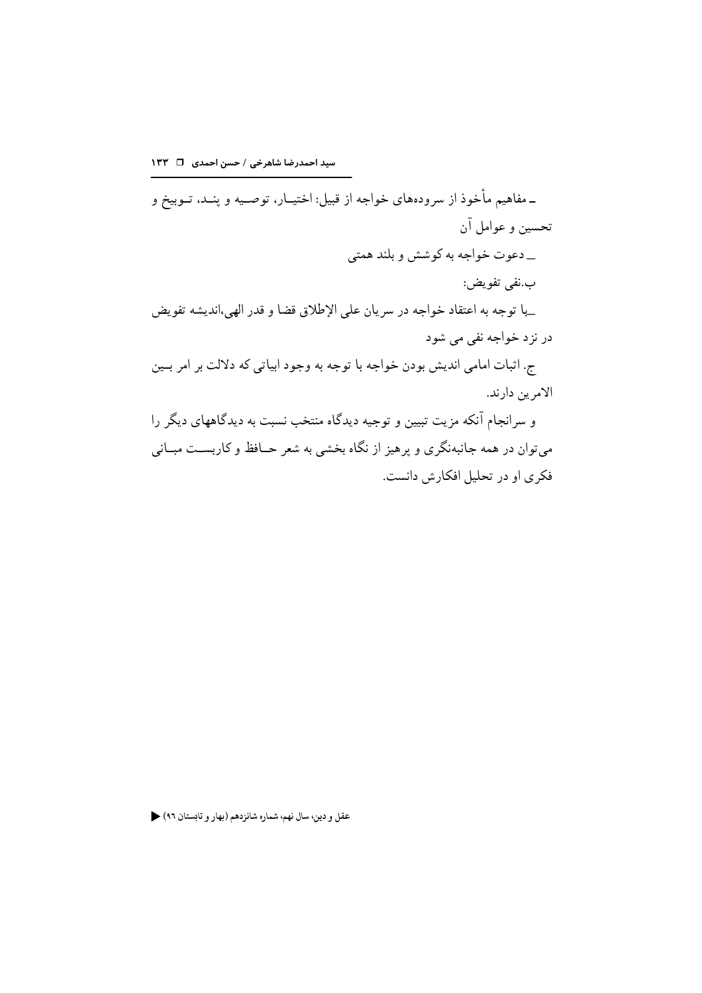ـ مفاهیم مأخوذ از سرودههای خواجه از قبیل: اختیــار، توصــیه و پنــد، تــوبیخ و تحسين و عوامل آن \_ دعوت خواجه به کوشش و بلند همتی ب.نفي تفويض: \_با توجه به اعتقاد خواجه در سريان على الإطلاق قضا و قدر الهي،انديشه تفويض در نزد خواجه نفي مي شود ج. اثبات امامي انديش بودن خواجه با توجه به وجود ابياتي كه دلالت بر امر بـين الامرين دارند. و سرانجام آنکه مزیت تبیین و توجیه دیدگاه منتخب نسبت به دیدگاههای دیگر را میتوان در همه جانبهنگری و پرهیز از نگاه بخشی به شعر حــافظ و کاربســت مبــانی فکري او در تحليل افکارش دانست.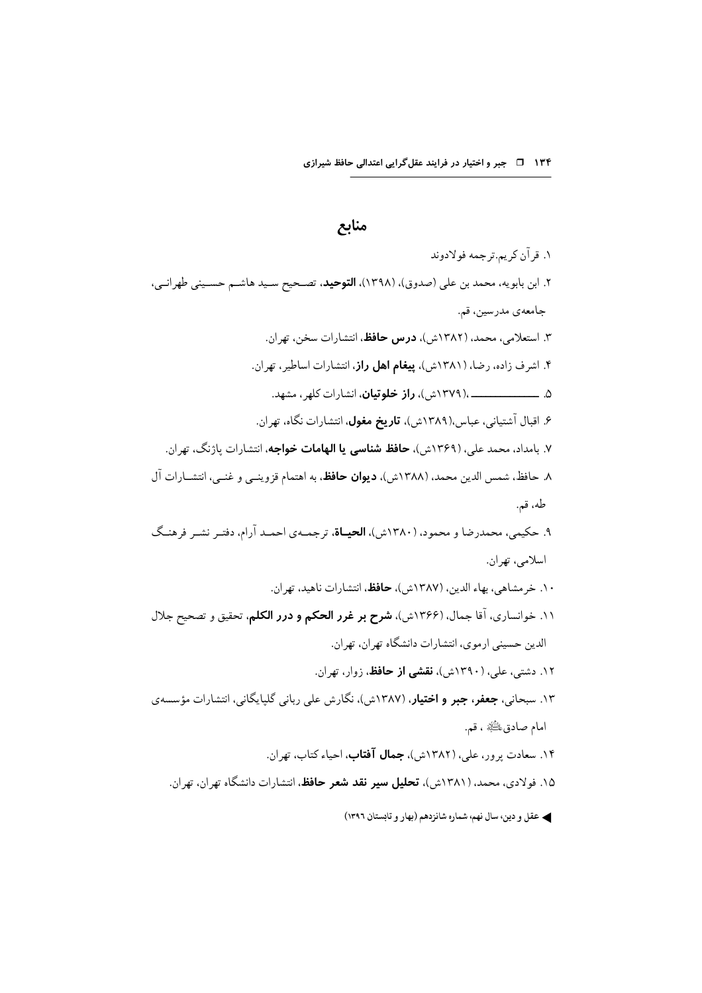ک عقل و دين، سال نهم، شماره شانزدهم (بهار و تابستان ١٣٩٦)

## منابع

١. قر آن کر يہ تر جمه فولادوند ۲. ابن بابویه، محمد بن علی (صدوق)، (۱۳۹۸)، **التوحید**، تصــحیح ســید هاشــم حســینی طهرانــی، جامعەي مدرسين، قم. ۳. استعلامی، محمد، (۱۳۸۲ش)، **درس حافظ**، انتشارات سخن، تهران. ۴. اشرف زاده، رضا، (۱۳۸۱ش)، **پیغام اهل راز**، انتشارات اساطیر، تهران. ۶. اقبال آشتیانی، عباس،(۱۳۸۹ش)، **تاریخ مغول**، انتشارات نگاه، تهران. ۷. بامداد، محمد علي، (۱۳۶۹ش)، **حافظ شناسي يا الهامات خواجه**، انتشارات ياژنگ، تهران. ٨. حافظ، شمس الدين محمد، (١٣٨٨ش)، **ديوان حافظ**، به اهتمام قزوينــي و غنــي، انتشــارات آل طه، قم. ۹. حکیمی، محمدرضا و محمود، (۱۳۸۰ش)، **الحیـاة**، ترجمـهي احمـد آرام، دفتـر نشـر فرهنـگ اسلامي، تهران. ۰۱. خرمشاهي، بهاء الدين، (۱۳۸۷ش)، حافظ، انتشارات ناهيد، تهران. ١١. خوانساري، آقا جمال، (١٣۶۶ش)، **شرح بر غرر الحكم و درر الكلم**، تحقيق و تصحيح جلال الدین حسینی ارموی، انتشارات دانشگاه تهران، تهران. ۱۲. دشتی، علی، (۱۳۹۰ش)، **نقشی از حافظ**، زوار، تهران. ۱۳. سبحانی، **جعفر، جبر و اختیار**، (۱۳۸۷ش)، نگارش علی ربانی گلپایگانی، انتشارات مؤسسهی امام صادق، لِلشَّلَةِ ، قم. ۱۴. سعادت پرور، علی، (۱۳۸۲ش)، **جمال آفتاب**، احیاء کتاب، ت<u>هران</u>. ۱۵. فولادی، محمد، (۱۳۸۱ش)، **تحلیل سیر نقد شعر حافظ**، انتشارات دانشگاه تهران، تهران.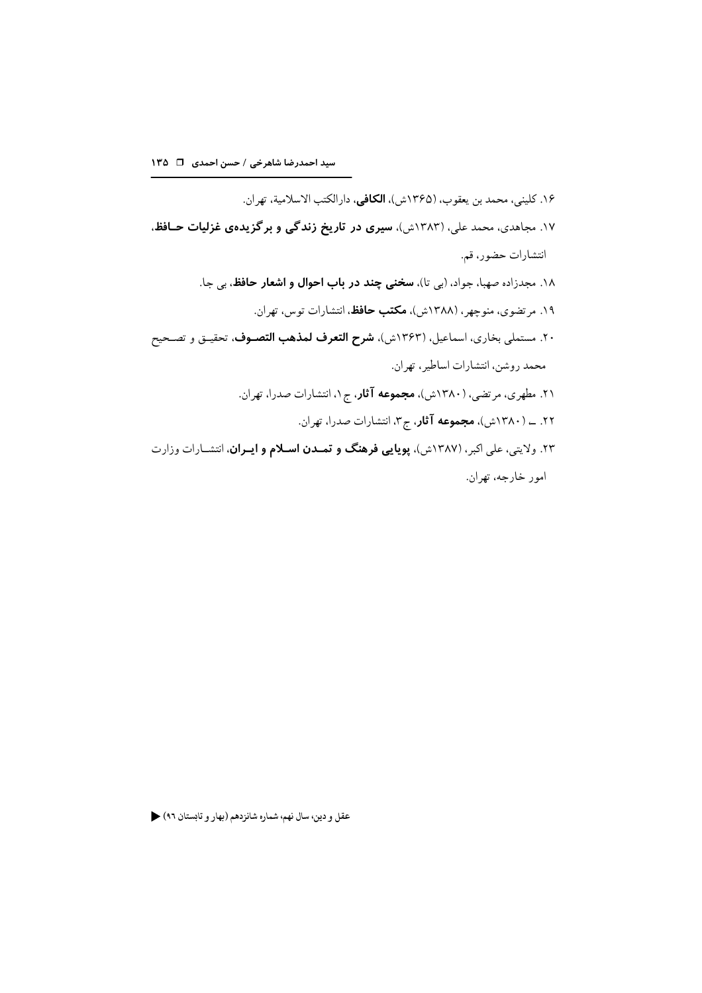۱۶. كليني، محمد بن يعقوب، (۱۳۶۵ش)، **الكافي**، دارالكتب الاسلامية، تهران. ۱۷. مجاهدی، محمد علی، (۱۳۸۳ش)، **سیری در تاریخ زندگی و برگزیدهی غزلیات حـافظ**، انتشارات حضور، قم. ١٨. مجدزاده صهبا، جواد، (بي تا)، **سخني چند در باب احوال و اشعار حافظ**، بي جا. ۱۹. مرتضوي، منوچهر، (۱۳۸۸ش)، **مكتب حافظ**، انتشارات توس، تهران. ۲۰. مستملي بخاري، اسماعيل، (۱۳۶۳ش)، **شرح التعرف لمذهب التصـوف**، تحقيــق و تصـحيح محمد روشن، انتشارات اساطیر، تهران.

- ۲۱. مطهری، مرتضی، (۱۳۸۰ش)، **مجموعه آثار**، ج۱، انتشارات صدرا، تهران.
	- ۲۲. \_ (۱۳۸۰ش)، **مجموعه آثار**، ج۳. انتشارات صدرا، تهران.
- ۲۳. ولایتی، علی اکبر، (۱۳۸۷ش)، **پویایی فرهنگ و تمـدن اسـلام و ایـران**، انتشـارات وزارت امور خارجه، تهران.